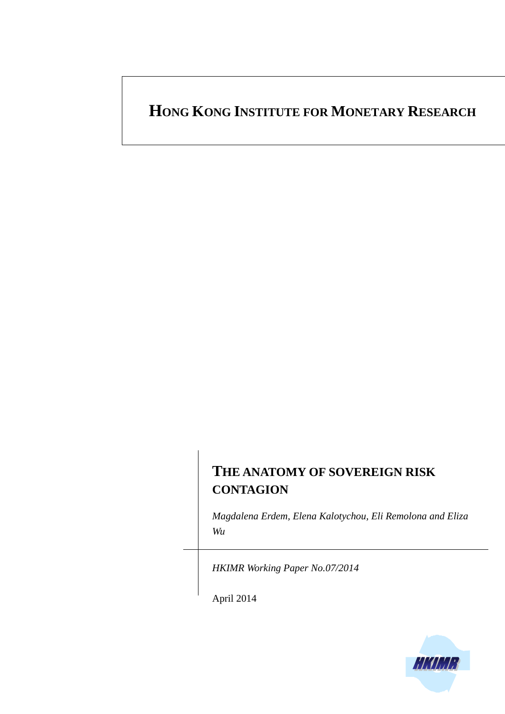# **HONG KONG INSTITUTE FOR MONETARY RESEARCH**

# **THE ANATOMY OF SOVEREIGN RISK CONTAGION**

*Magdalena Erdem, Elena Kalotychou, Eli Remolona and Eliza Wu*

*HKIMR Working Paper No.07/2014*

April 2014

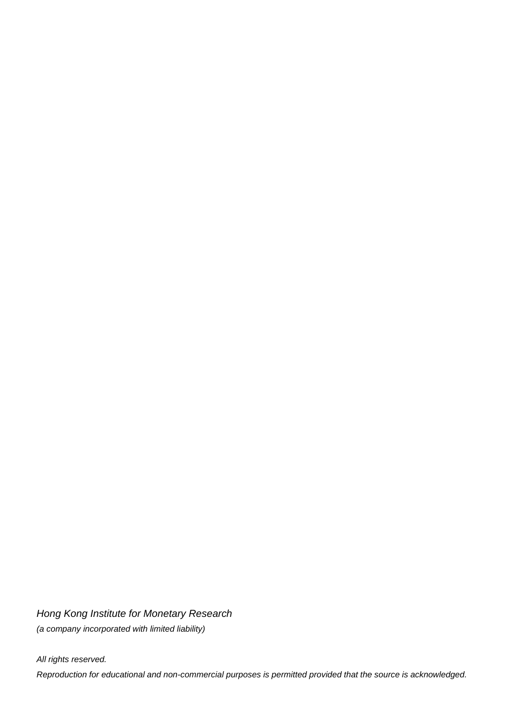*Hong Kong Institute for Monetary Research (a company incorporated with limited liability)*

*All rights reserved. Reproduction for educational and non-commercial purposes is permitted provided that the source is acknowledged.*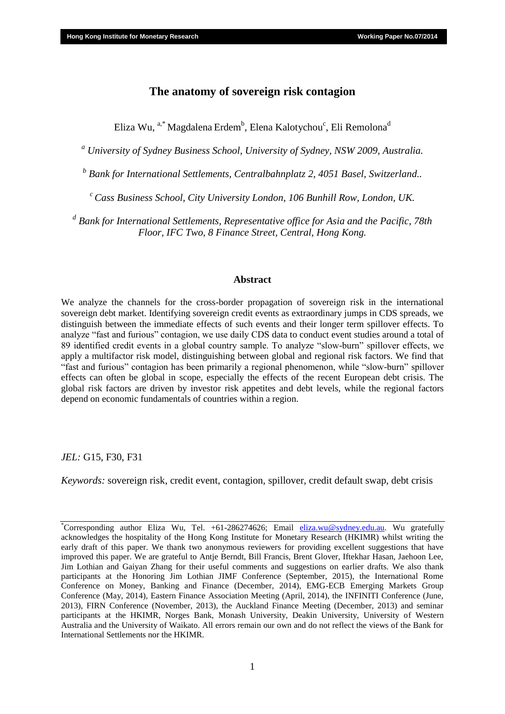## **The anatomy of sovereign risk contagion**

Eliza Wu,  $\mathrm{^{a,*}}$  Magdalena Erdem $\mathrm{^{b}}$ , Elena Kalotychou $\mathrm{^{c}}$ , Eli Remolona $\mathrm{^{d}}$ 

*<sup>a</sup> University of Sydney Business School, University of Sydney, NSW 2009, Australia.*

*b Bank for International Settlements, Centralbahnplatz 2, 4051 Basel, Switzerland..*

*<sup>c</sup>Cass Business School, City University London, 106 Bunhill Row, London, UK.*

*d Bank for International Settlements, Representative office for Asia and the Pacific, 78th Floor, IFC Two, 8 Finance Street, Central, Hong Kong.*

#### **Abstract**

We analyze the channels for the cross-border propagation of sovereign risk in the international sovereign debt market. Identifying sovereign credit events as extraordinary jumps in CDS spreads, we distinguish between the immediate effects of such events and their longer term spillover effects. To analyze "fast and furious" contagion, we use daily CDS data to conduct event studies around a total of 89 identified credit events in a global country sample. To analyze "slow-burn" spillover effects, we apply a multifactor risk model, distinguishing between global and regional risk factors. We find that "fast and furious" contagion has been primarily a regional phenomenon, while "slow-burn" spillover effects can often be global in scope, especially the effects of the recent European debt crisis. The global risk factors are driven by investor risk appetites and debt levels, while the regional factors depend on economic fundamentals of countries within a region.

*JEL:* G15, F30, F31

*Keywords:* sovereign risk, credit event, contagion, spillover, credit default swap, debt crisis

<sup>\*</sup>Corresponding author Eliza Wu, Tel. +61-286274626; Email [eliza.wu@sydney.edu.au.](mailto:eliza.wu@sydney.edu.au) Wu gratefully acknowledges the hospitality of the Hong Kong Institute for Monetary Research (HKIMR) whilst writing the early draft of this paper. We thank two anonymous reviewers for providing excellent suggestions that have improved this paper. We are grateful to Antje Berndt, Bill Francis, Brent Glover, Iftekhar Hasan, Jaehoon Lee, Jim Lothian and Gaiyan Zhang for their useful comments and suggestions on earlier drafts. We also thank participants at the Honoring Jim Lothian JIMF Conference (September, 2015), the International Rome Conference on Money, Banking and Finance (December, 2014), EMG-ECB Emerging Markets Group Conference (May, 2014), Eastern Finance Association Meeting (April, 2014), the INFINITI Conference (June, 2013), FIRN Conference (November, 2013), the Auckland Finance Meeting (December, 2013) and seminar participants at the HKIMR, Norges Bank, Monash University, Deakin University, University of Western Australia and the University of Waikato. All errors remain our own and do not reflect the views of the Bank for International Settlements nor the HKIMR.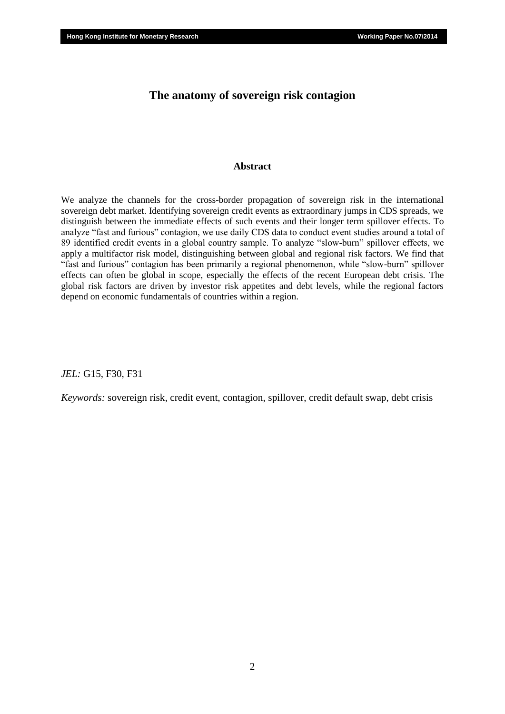## **The anatomy of sovereign risk contagion**

### **Abstract**

We analyze the channels for the cross-border propagation of sovereign risk in the international sovereign debt market. Identifying sovereign credit events as extraordinary jumps in CDS spreads, we distinguish between the immediate effects of such events and their longer term spillover effects. To analyze "fast and furious" contagion, we use daily CDS data to conduct event studies around a total of 89 identified credit events in a global country sample. To analyze "slow-burn" spillover effects, we apply a multifactor risk model, distinguishing between global and regional risk factors. We find that "fast and furious" contagion has been primarily a regional phenomenon, while "slow-burn" spillover effects can often be global in scope, especially the effects of the recent European debt crisis. The global risk factors are driven by investor risk appetites and debt levels, while the regional factors depend on economic fundamentals of countries within a region.

*JEL:* G15, F30, F31

*Keywords:* sovereign risk, credit event, contagion, spillover, credit default swap, debt crisis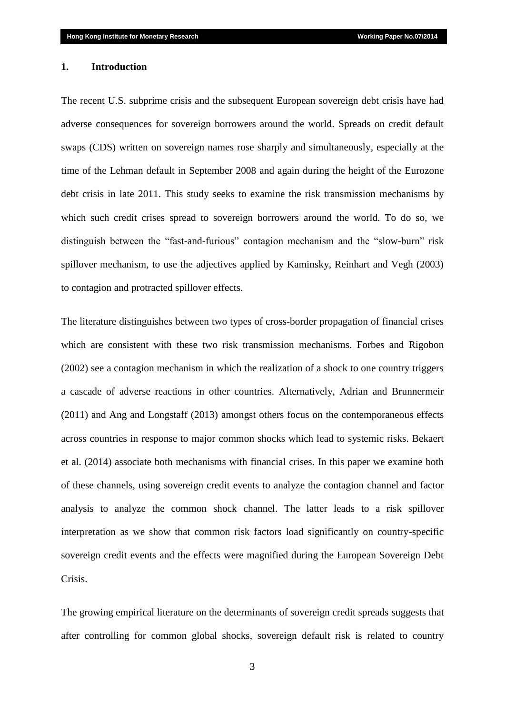#### **1. Introduction**

The recent U.S. subprime crisis and the subsequent European sovereign debt crisis have had adverse consequences for sovereign borrowers around the world. Spreads on credit default swaps (CDS) written on sovereign names rose sharply and simultaneously, especially at the time of the Lehman default in September 2008 and again during the height of the Eurozone debt crisis in late 2011. This study seeks to examine the risk transmission mechanisms by which such credit crises spread to sovereign borrowers around the world. To do so, we distinguish between the "fast-and-furious" contagion mechanism and the "slow-burn" risk spillover mechanism, to use the adjectives applied by Kaminsky, Reinhart and Vegh (2003) to contagion and protracted spillover effects.

The literature distinguishes between two types of cross-border propagation of financial crises which are consistent with these two risk transmission mechanisms. Forbes and Rigobon (2002) see a contagion mechanism in which the realization of a shock to one country triggers a cascade of adverse reactions in other countries. Alternatively, Adrian and Brunnermeir (2011) and Ang and Longstaff (2013) amongst others focus on the contemporaneous effects across countries in response to major common shocks which lead to systemic risks. Bekaert et al. (2014) associate both mechanisms with financial crises. In this paper we examine both of these channels, using sovereign credit events to analyze the contagion channel and factor analysis to analyze the common shock channel. The latter leads to a risk spillover interpretation as we show that common risk factors load significantly on country-specific sovereign credit events and the effects were magnified during the European Sovereign Debt Crisis.

The growing empirical literature on the determinants of sovereign credit spreads suggests that after controlling for common global shocks, sovereign default risk is related to country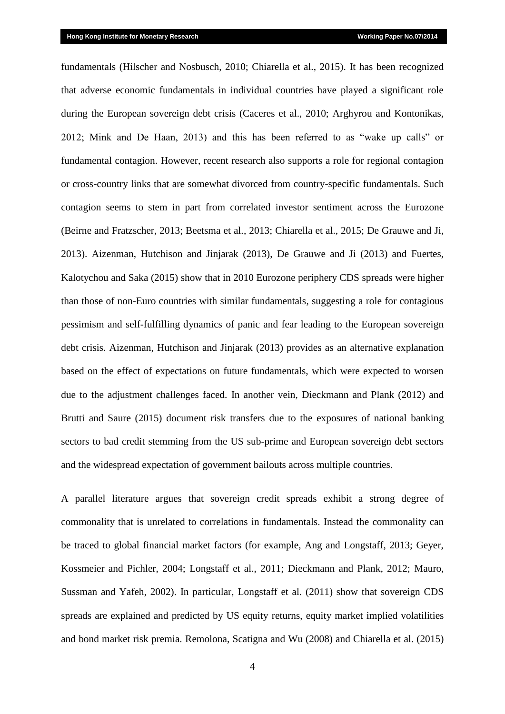fundamentals (Hilscher and Nosbusch, 2010; Chiarella et al., 2015). It has been recognized that adverse economic fundamentals in individual countries have played a significant role during the European sovereign debt crisis (Caceres et al., 2010; Arghyrou and Kontonikas, 2012; Mink and De Haan, 2013) and this has been referred to as "wake up calls" or fundamental contagion. However, recent research also supports a role for regional contagion or cross-country links that are somewhat divorced from country-specific fundamentals. Such contagion seems to stem in part from correlated investor sentiment across the Eurozone (Beirne and Fratzscher, 2013; Beetsma et al., 2013; Chiarella et al., 2015; De Grauwe and Ji, 2013). Aizenman, Hutchison and Jinjarak (2013), De Grauwe and Ji (2013) and Fuertes, Kalotychou and Saka (2015) show that in 2010 Eurozone periphery CDS spreads were higher than those of non-Euro countries with similar fundamentals, suggesting a role for contagious pessimism and self-fulfilling dynamics of panic and fear leading to the European sovereign debt crisis. Aizenman, Hutchison and Jinjarak (2013) provides as an alternative explanation based on the effect of expectations on future fundamentals, which were expected to worsen due to the adjustment challenges faced. In another vein, Dieckmann and Plank (2012) and Brutti and Saure (2015) document risk transfers due to the exposures of national banking sectors to bad credit stemming from the US sub-prime and European sovereign debt sectors and the widespread expectation of government bailouts across multiple countries.

A parallel literature argues that sovereign credit spreads exhibit a strong degree of commonality that is unrelated to correlations in fundamentals. Instead the commonality can be traced to global financial market factors (for example, Ang and Longstaff, 2013; Geyer, Kossmeier and Pichler, 2004; Longstaff et al., 2011; Dieckmann and Plank, 2012; Mauro, Sussman and Yafeh, 2002). In particular, Longstaff et al. (2011) show that sovereign CDS spreads are explained and predicted by US equity returns, equity market implied volatilities and bond market risk premia. Remolona, Scatigna and Wu (2008) and Chiarella et al. (2015)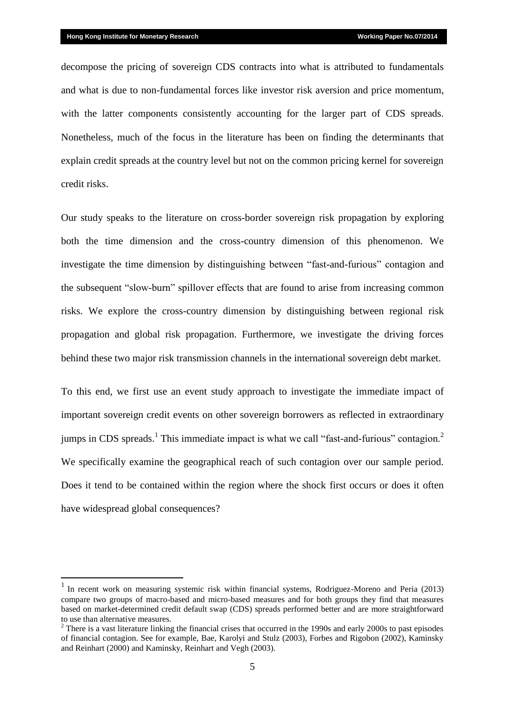1

decompose the pricing of sovereign CDS contracts into what is attributed to fundamentals and what is due to non-fundamental forces like investor risk aversion and price momentum, with the latter components consistently accounting for the larger part of CDS spreads. Nonetheless, much of the focus in the literature has been on finding the determinants that explain credit spreads at the country level but not on the common pricing kernel for sovereign credit risks.

Our study speaks to the literature on cross-border sovereign risk propagation by exploring both the time dimension and the cross-country dimension of this phenomenon. We investigate the time dimension by distinguishing between "fast-and-furious" contagion and the subsequent "slow-burn" spillover effects that are found to arise from increasing common risks. We explore the cross-country dimension by distinguishing between regional risk propagation and global risk propagation. Furthermore, we investigate the driving forces behind these two major risk transmission channels in the international sovereign debt market.

To this end, we first use an event study approach to investigate the immediate impact of important sovereign credit events on other sovereign borrowers as reflected in extraordinary jumps in CDS spreads.<sup>1</sup> This immediate impact is what we call "fast-and-furious" contagion.<sup>2</sup> We specifically examine the geographical reach of such contagion over our sample period. Does it tend to be contained within the region where the shock first occurs or does it often have widespread global consequences?

<sup>&</sup>lt;sup>1</sup> In recent work on measuring systemic risk within financial systems, Rodriguez-Moreno and Peria (2013) compare two groups of macro-based and micro-based measures and for both groups they find that measures based on market-determined credit default swap (CDS) spreads performed better and are more straightforward to use than alternative measures.

<sup>&</sup>lt;sup>2</sup> There is a vast literature linking the financial crises that occurred in the 1990s and early 2000s to past episodes of financial contagion. See for example, Bae, Karolyi and Stulz (2003), Forbes and Rigobon (2002), Kaminsky and Reinhart (2000) and Kaminsky, Reinhart and Vegh (2003).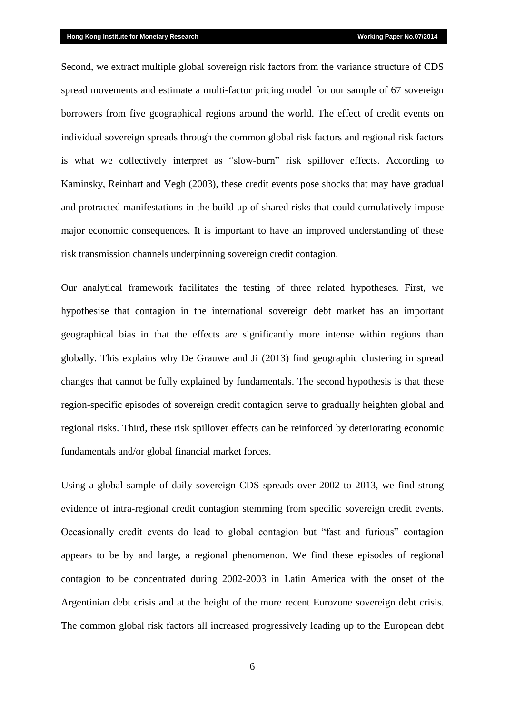Second, we extract multiple global sovereign risk factors from the variance structure of CDS spread movements and estimate a multi-factor pricing model for our sample of 67 sovereign borrowers from five geographical regions around the world. The effect of credit events on individual sovereign spreads through the common global risk factors and regional risk factors is what we collectively interpret as "slow-burn" risk spillover effects. According to Kaminsky, Reinhart and Vegh (2003), these credit events pose shocks that may have gradual and protracted manifestations in the build-up of shared risks that could cumulatively impose major economic consequences. It is important to have an improved understanding of these risk transmission channels underpinning sovereign credit contagion.

Our analytical framework facilitates the testing of three related hypotheses. First, we hypothesise that contagion in the international sovereign debt market has an important geographical bias in that the effects are significantly more intense within regions than globally. This explains why De Grauwe and Ji (2013) find geographic clustering in spread changes that cannot be fully explained by fundamentals. The second hypothesis is that these region-specific episodes of sovereign credit contagion serve to gradually heighten global and regional risks. Third, these risk spillover effects can be reinforced by deteriorating economic fundamentals and/or global financial market forces.

Using a global sample of daily sovereign CDS spreads over 2002 to 2013, we find strong evidence of intra-regional credit contagion stemming from specific sovereign credit events. Occasionally credit events do lead to global contagion but "fast and furious" contagion appears to be by and large, a regional phenomenon. We find these episodes of regional contagion to be concentrated during 2002-2003 in Latin America with the onset of the Argentinian debt crisis and at the height of the more recent Eurozone sovereign debt crisis. The common global risk factors all increased progressively leading up to the European debt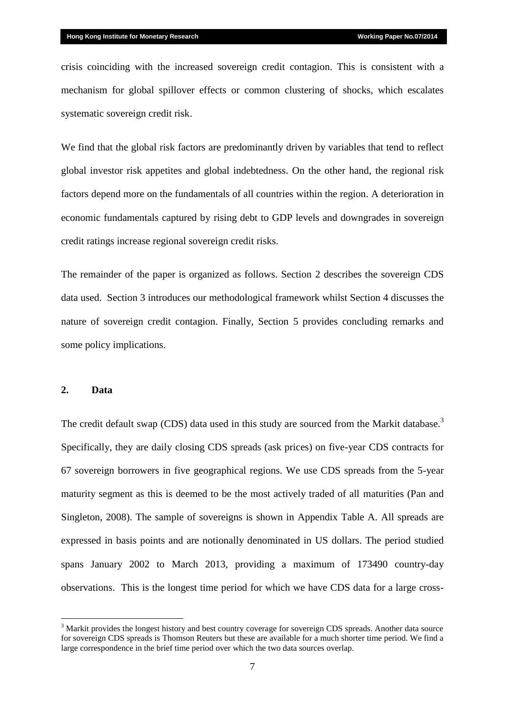crisis coinciding with the increased sovereign credit contagion. This is consistent with a mechanism for global spillover effects or common clustering of shocks, which escalates systematic sovereign credit risk.

We find that the global risk factors are predominantly driven by variables that tend to reflect global investor risk appetites and global indebtedness. On the other hand, the regional risk factors depend more on the fundamentals of all countries within the region. A deterioration in economic fundamentals captured by rising debt to GDP levels and downgrades in sovereign credit ratings increase regional sovereign credit risks.

The remainder of the paper is organized as follows. Section 2 describes the sovereign CDS data used. Section 3 introduces our methodological framework whilst Section 4 discusses the nature of sovereign credit contagion. Finally, Section 5 provides concluding remarks and some policy implications.

#### **2. Data**

<u>.</u>

The credit default swap (CDS) data used in this study are sourced from the Markit database.<sup>3</sup> Specifically, they are daily closing CDS spreads (ask prices) on five-year CDS contracts for 67 sovereign borrowers in five geographical regions. We use CDS spreads from the 5-year maturity segment as this is deemed to be the most actively traded of all maturities (Pan and Singleton, 2008). The sample of sovereigns is shown in Appendix Table A. All spreads are expressed in basis points and are notionally denominated in US dollars. The period studied spans January 2002 to March 2013, providing a maximum of 173490 country-day observations. This is the longest time period for which we have CDS data for a large cross-

<sup>&</sup>lt;sup>3</sup> Markit provides the longest history and best country coverage for sovereign CDS spreads. Another data source for sovereign CDS spreads is Thomson Reuters but these are available for a much shorter time period. We find a large correspondence in the brief time period over which the two data sources overlap.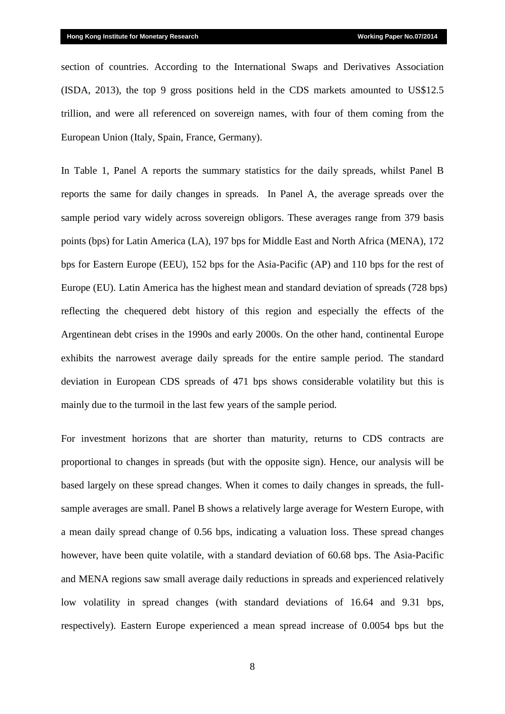section of countries. According to the International Swaps and Derivatives Association (ISDA, 2013), the top 9 gross positions held in the CDS markets amounted to US\$12.5 trillion, and were all referenced on sovereign names, with four of them coming from the European Union (Italy, Spain, France, Germany).

In Table 1, Panel A reports the summary statistics for the daily spreads, whilst Panel B reports the same for daily changes in spreads. In Panel A, the average spreads over the sample period vary widely across sovereign obligors. These averages range from 379 basis points (bps) for Latin America (LA), 197 bps for Middle East and North Africa (MENA), 172 bps for Eastern Europe (EEU), 152 bps for the Asia-Pacific (AP) and 110 bps for the rest of Europe (EU). Latin America has the highest mean and standard deviation of spreads (728 bps) reflecting the chequered debt history of this region and especially the effects of the Argentinean debt crises in the 1990s and early 2000s. On the other hand, continental Europe exhibits the narrowest average daily spreads for the entire sample period. The standard deviation in European CDS spreads of 471 bps shows considerable volatility but this is mainly due to the turmoil in the last few years of the sample period.

For investment horizons that are shorter than maturity, returns to CDS contracts are proportional to changes in spreads (but with the opposite sign). Hence, our analysis will be based largely on these spread changes. When it comes to daily changes in spreads, the fullsample averages are small. Panel B shows a relatively large average for Western Europe, with a mean daily spread change of 0.56 bps, indicating a valuation loss. These spread changes however, have been quite volatile, with a standard deviation of 60.68 bps. The Asia-Pacific and MENA regions saw small average daily reductions in spreads and experienced relatively low volatility in spread changes (with standard deviations of 16.64 and 9.31 bps, respectively). Eastern Europe experienced a mean spread increase of 0.0054 bps but the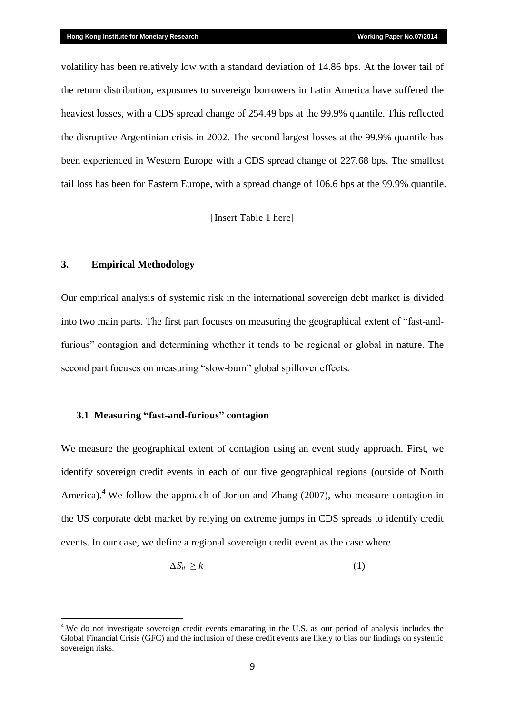volatility has been relatively low with a standard deviation of 14.86 bps. At the lower tail of the return distribution, exposures to sovereign borrowers in Latin America have suffered the heaviest losses, with a CDS spread change of 254.49 bps at the 99.9% quantile. This reflected the disruptive Argentinian crisis in 2002. The second largest losses at the 99.9% quantile has been experienced in Western Europe with a CDS spread change of 227.68 bps. The smallest tail loss has been for Eastern Europe, with a spread change of 106.6 bps at the 99.9% quantile.

[Insert Table 1 here]

#### **3. Empirical Methodology**

<u>.</u>

Our empirical analysis of systemic risk in the international sovereign debt market is divided into two main parts. The first part focuses on measuring the geographical extent of "fast-andfurious" contagion and determining whether it tends to be regional or global in nature. The second part focuses on measuring "slow-burn" global spillover effects.

## **3.1 Measuring "fast-and-furious" contagion**

We measure the geographical extent of contagion using an event study approach. First, we identify sovereign credit events in each of our five geographical regions (outside of North America).<sup>4</sup> We follow the approach of Jorion and Zhang (2007), who measure contagion in the US corporate debt market by relying on extreme jumps in CDS spreads to identify credit events. In our case, we define a regional sovereign credit event as the case where

$$
\Delta S_{it} \ge k \tag{1}
$$

<sup>&</sup>lt;sup>4</sup> We do not investigate sovereign credit events emanating in the U.S. as our period of analysis includes the Global Financial Crisis (GFC) and the inclusion of these credit events are likely to bias our findings on systemic sovereign risks.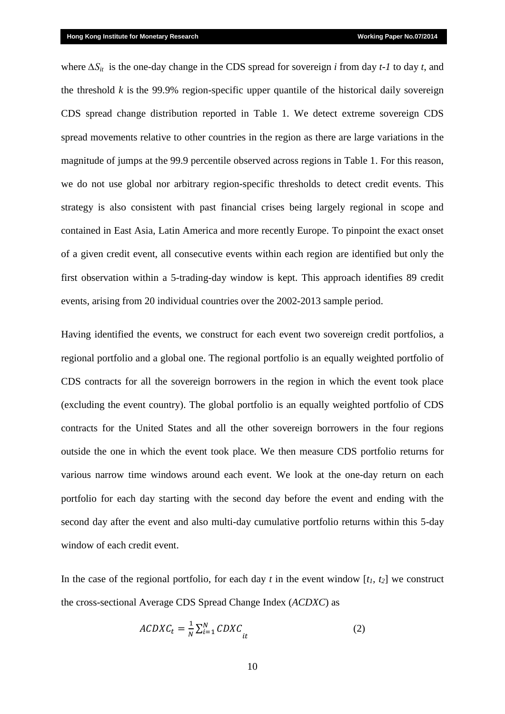where *∆Sit* is the one-day change in the CDS spread for sovereign *i* from day *t-1* to day *t*, and the threshold  $k$  is the 99.9% region-specific upper quantile of the historical daily sovereign CDS spread change distribution reported in Table 1. We detect extreme sovereign CDS spread movements relative to other countries in the region as there are large variations in the magnitude of jumps at the 99.9 percentile observed across regions in Table 1. For this reason, we do not use global nor arbitrary region-specific thresholds to detect credit events. This strategy is also consistent with past financial crises being largely regional in scope and contained in East Asia, Latin America and more recently Europe. To pinpoint the exact onset of a given credit event, all consecutive events within each region are identified but only the first observation within a 5-trading-day window is kept. This approach identifies 89 credit events, arising from 20 individual countries over the 2002-2013 sample period.

Having identified the events, we construct for each event two sovereign credit portfolios, a regional portfolio and a global one. The regional portfolio is an equally weighted portfolio of CDS contracts for all the sovereign borrowers in the region in which the event took place (excluding the event country). The global portfolio is an equally weighted portfolio of CDS contracts for the United States and all the other sovereign borrowers in the four regions outside the one in which the event took place. We then measure CDS portfolio returns for various narrow time windows around each event. We look at the one-day return on each portfolio for each day starting with the second day before the event and ending with the second day after the event and also multi-day cumulative portfolio returns within this 5-day window of each credit event.

In the case of the regional portfolio, for each day *t* in the event window  $[t_1, t_2]$  we construct the cross-sectional Average CDS Spread Change Index (*ACDXC*) as

$$
ACDXC_t = \frac{1}{N} \sum_{i=1}^{N} CDXC_{it}
$$
 (2)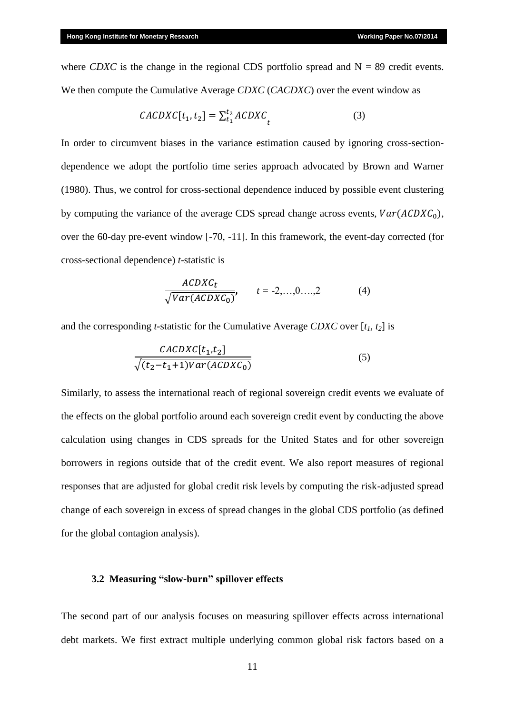where *CDXC* is the change in the regional CDS portfolio spread and  $N = 89$  credit events. We then compute the Cumulative Average *CDXC* (*CACDXC*) over the event window as

$$
CACDXC[t_1, t_2] = \sum_{t_1}^{t_2} ACDXC_t \tag{3}
$$

In order to circumvent biases in the variance estimation caused by ignoring cross-sectiondependence we adopt the portfolio time series approach advocated by Brown and Warner (1980). Thus, we control for cross-sectional dependence induced by possible event clustering by computing the variance of the average CDS spread change across events,  $Var(ACDXC_0)$ , over the 60-day pre-event window [-70, -11]. In this framework, the event-day corrected (for cross-sectional dependence) *t*-statistic is

$$
\frac{ACDXC_t}{\sqrt{Var(ACDXC_0)}}, \qquad t = -2,...,0,...,2
$$
 (4)

and the corresponding *t*-statistic for the Cumulative Average *CDXC* over [*t1, t2*] is

$$
\frac{CACDXC[t_1, t_2]}{\sqrt{(t_2 - t_1 + 1)Var(ACDXC_0)}}
$$
\n
$$
(5)
$$

Similarly, to assess the international reach of regional sovereign credit events we evaluate of the effects on the global portfolio around each sovereign credit event by conducting the above calculation using changes in CDS spreads for the United States and for other sovereign borrowers in regions outside that of the credit event. We also report measures of regional responses that are adjusted for global credit risk levels by computing the risk-adjusted spread change of each sovereign in excess of spread changes in the global CDS portfolio (as defined for the global contagion analysis).

#### **3.2 Measuring "slow-burn" spillover effects**

The second part of our analysis focuses on measuring spillover effects across international debt markets. We first extract multiple underlying common global risk factors based on a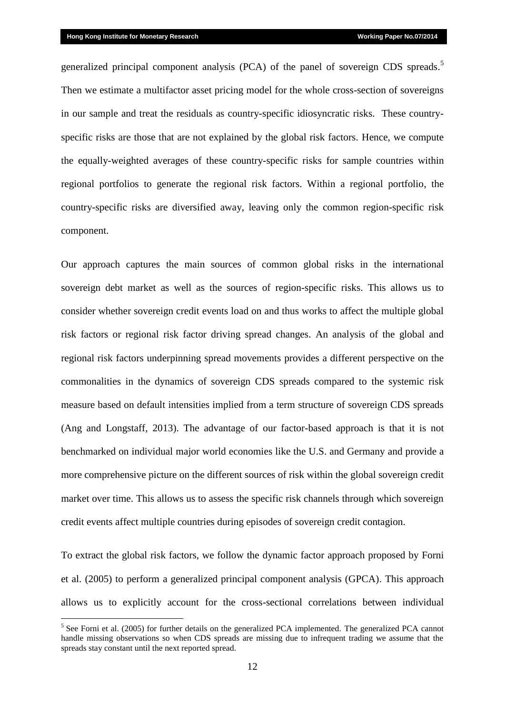<u>.</u>

generalized principal component analysis (PCA) of the panel of sovereign CDS spreads.<sup>5</sup> Then we estimate a multifactor asset pricing model for the whole cross-section of sovereigns in our sample and treat the residuals as country-specific idiosyncratic risks. These countryspecific risks are those that are not explained by the global risk factors. Hence, we compute the equally-weighted averages of these country-specific risks for sample countries within regional portfolios to generate the regional risk factors. Within a regional portfolio, the country-specific risks are diversified away, leaving only the common region-specific risk component.

Our approach captures the main sources of common global risks in the international sovereign debt market as well as the sources of region-specific risks. This allows us to consider whether sovereign credit events load on and thus works to affect the multiple global risk factors or regional risk factor driving spread changes. An analysis of the global and regional risk factors underpinning spread movements provides a different perspective on the commonalities in the dynamics of sovereign CDS spreads compared to the systemic risk measure based on default intensities implied from a term structure of sovereign CDS spreads (Ang and Longstaff, 2013). The advantage of our factor-based approach is that it is not benchmarked on individual major world economies like the U.S. and Germany and provide a more comprehensive picture on the different sources of risk within the global sovereign credit market over time. This allows us to assess the specific risk channels through which sovereign credit events affect multiple countries during episodes of sovereign credit contagion.

To extract the global risk factors, we follow the dynamic factor approach proposed by Forni et al. (2005) to perform a generalized principal component analysis (GPCA). This approach allows us to explicitly account for the cross-sectional correlations between individual

<sup>&</sup>lt;sup>5</sup> See Forni et al. (2005) for further details on the generalized PCA implemented. The generalized PCA cannot handle missing observations so when CDS spreads are missing due to infrequent trading we assume that the spreads stay constant until the next reported spread.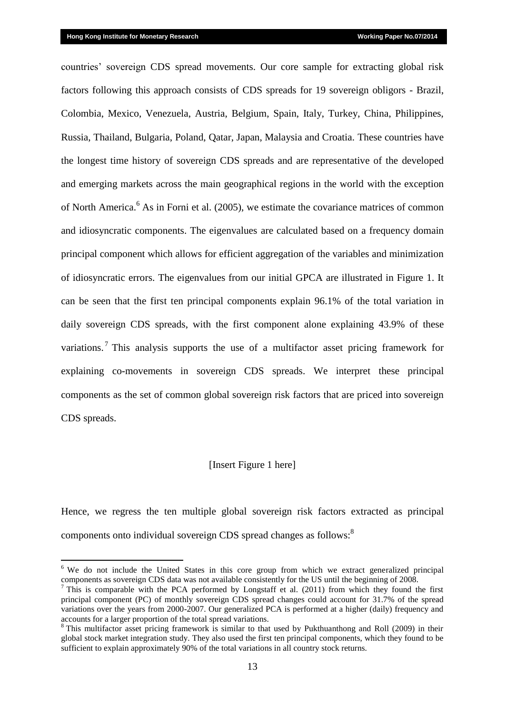<u>.</u>

countries' sovereign CDS spread movements. Our core sample for extracting global risk factors following this approach consists of CDS spreads for 19 sovereign obligors - Brazil, Colombia, Mexico, Venezuela, Austria, Belgium, Spain, Italy, Turkey, China, Philippines, Russia, Thailand, Bulgaria, Poland, Qatar, Japan, Malaysia and Croatia. These countries have the longest time history of sovereign CDS spreads and are representative of the developed and emerging markets across the main geographical regions in the world with the exception of North America.<sup>6</sup> As in Forni et al. (2005), we estimate the covariance matrices of common and idiosyncratic components. The eigenvalues are calculated based on a frequency domain principal component which allows for efficient aggregation of the variables and minimization of idiosyncratic errors. The eigenvalues from our initial GPCA are illustrated in Figure 1. It can be seen that the first ten principal components explain 96.1% of the total variation in daily sovereign CDS spreads, with the first component alone explaining 43.9% of these variations.<sup>7</sup> This analysis supports the use of a multifactor asset pricing framework for explaining co-movements in sovereign CDS spreads. We interpret these principal components as the set of common global sovereign risk factors that are priced into sovereign CDS spreads.

#### [Insert Figure 1 here]

Hence, we regress the ten multiple global sovereign risk factors extracted as principal components onto individual sovereign CDS spread changes as follows:<sup>8</sup>

<sup>&</sup>lt;sup>6</sup> We do not include the United States in this core group from which we extract generalized principal components as sovereign CDS data was not available consistently for the US until the beginning of 2008.

 $7$  This is comparable with the PCA performed by Longstaff et al. (2011) from which they found the first principal component (PC) of monthly sovereign CDS spread changes could account for 31.7% of the spread variations over the years from 2000-2007. Our generalized PCA is performed at a higher (daily) frequency and accounts for a larger proportion of the total spread variations.

<sup>&</sup>lt;sup>8</sup> This multifactor asset pricing framework is similar to that used by Pukthuanthong and Roll (2009) in their global stock market integration study. They also used the first ten principal components, which they found to be sufficient to explain approximately 90% of the total variations in all country stock returns.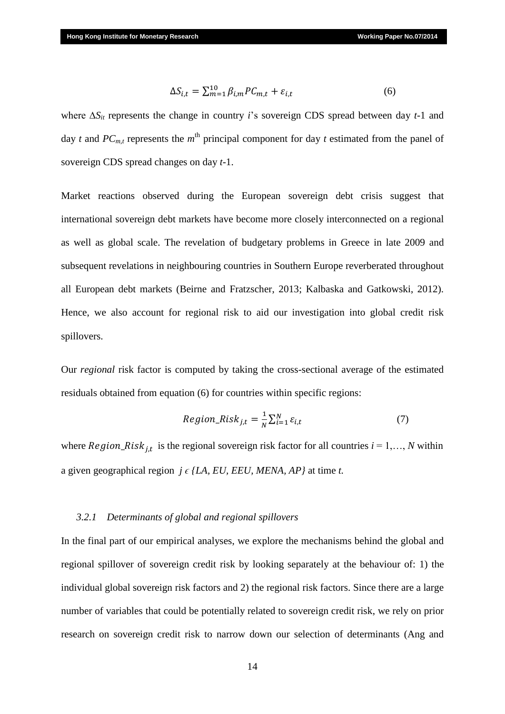$$
\Delta S_{i,t} = \sum_{m=1}^{10} \beta_{i,m} P C_{m,t} + \varepsilon_{i,t} \tag{6}
$$

where ∆*Sit* represents the change in country *i*'s sovereign CDS spread between day *t-*1 and day *t* and  $PC_{m,t}$  represents the  $m<sup>th</sup>$  principal component for day *t* estimated from the panel of sovereign CDS spread changes on day *t-*1.

Market reactions observed during the European sovereign debt crisis suggest that international sovereign debt markets have become more closely interconnected on a regional as well as global scale. The revelation of budgetary problems in Greece in late 2009 and subsequent revelations in neighbouring countries in Southern Europe reverberated throughout all European debt markets (Beirne and Fratzscher, 2013; Kalbaska and Gatkowski, 2012). Hence, we also account for regional risk to aid our investigation into global credit risk spillovers.

Our *regional* risk factor is computed by taking the cross-sectional average of the estimated residuals obtained from equation (6) for countries within specific regions:

$$
Region\_Risk_{j,t} = \frac{1}{N} \sum_{i=1}^{N} \varepsilon_{i,t}
$$
\n(7)

where  $Region\_Risk_{j,t}$  is the regional sovereign risk factor for all countries  $i = 1,..., N$  within a given geographical region  $i \in ILA$ , *EU, EEU, MENA, AP* at time *t.* 

#### *3.2.1 Determinants of global and regional spillovers*

In the final part of our empirical analyses, we explore the mechanisms behind the global and regional spillover of sovereign credit risk by looking separately at the behaviour of: 1) the individual global sovereign risk factors and 2) the regional risk factors. Since there are a large number of variables that could be potentially related to sovereign credit risk, we rely on prior research on sovereign credit risk to narrow down our selection of determinants (Ang and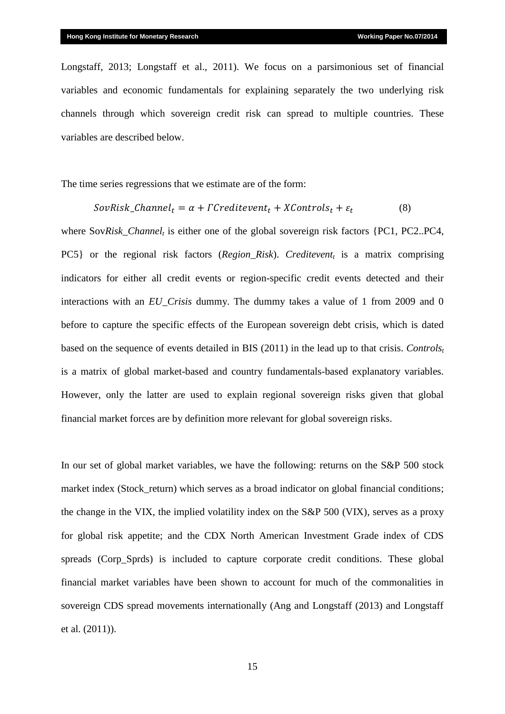Longstaff, 2013; Longstaff et al., 2011). We focus on a parsimonious set of financial variables and economic fundamentals for explaining separately the two underlying risk channels through which sovereign credit risk can spread to multiple countries. These variables are described below.

The time series regressions that we estimate are of the form:

$$
SovRisk\_Channel_t = \alpha + \Gamma Creditevent_t + XControls_t + \varepsilon_t \tag{8}
$$

where Sov*Risk\_Channel<sup>t</sup>* is either one of the global sovereign risk factors {PC1, PC2..PC4, PC5} or the regional risk factors (*Region\_Risk*). *Creditevent<sup>t</sup>* is a matrix comprising indicators for either all credit events or region-specific credit events detected and their interactions with an *EU\_Crisis* dummy. The dummy takes a value of 1 from 2009 and 0 before to capture the specific effects of the European sovereign debt crisis, which is dated based on the sequence of events detailed in BIS (2011) in the lead up to that crisis. *Controls<sup>t</sup>* is a matrix of global market-based and country fundamentals-based explanatory variables. However, only the latter are used to explain regional sovereign risks given that global financial market forces are by definition more relevant for global sovereign risks.

In our set of global market variables, we have the following: returns on the S&P 500 stock market index (Stock\_return) which serves as a broad indicator on global financial conditions; the change in the VIX, the implied volatility index on the S&P 500 (VIX), serves as a proxy for global risk appetite; and the CDX North American Investment Grade index of CDS spreads (Corp Sprds) is included to capture corporate credit conditions. These global financial market variables have been shown to account for much of the commonalities in sovereign CDS spread movements internationally (Ang and Longstaff (2013) and Longstaff et al. (2011)).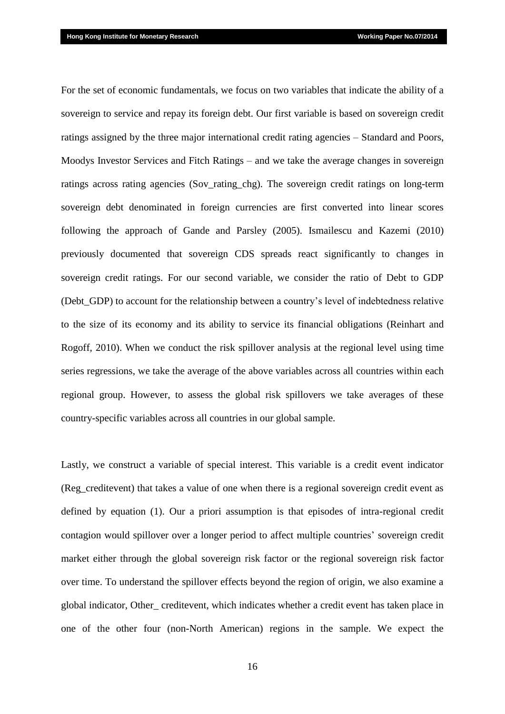For the set of economic fundamentals, we focus on two variables that indicate the ability of a sovereign to service and repay its foreign debt. Our first variable is based on sovereign credit ratings assigned by the three major international credit rating agencies – Standard and Poors, Moodys Investor Services and Fitch Ratings – and we take the average changes in sovereign ratings across rating agencies (Sov\_rating\_chg). The sovereign credit ratings on long-term sovereign debt denominated in foreign currencies are first converted into linear scores following the approach of Gande and Parsley (2005). Ismailescu and Kazemi (2010) previously documented that sovereign CDS spreads react significantly to changes in sovereign credit ratings. For our second variable, we consider the ratio of Debt to GDP (Debt\_GDP) to account for the relationship between a country's level of indebtedness relative to the size of its economy and its ability to service its financial obligations (Reinhart and Rogoff, 2010). When we conduct the risk spillover analysis at the regional level using time series regressions, we take the average of the above variables across all countries within each regional group. However, to assess the global risk spillovers we take averages of these country-specific variables across all countries in our global sample.

Lastly, we construct a variable of special interest. This variable is a credit event indicator (Reg\_creditevent) that takes a value of one when there is a regional sovereign credit event as defined by equation (1). Our a priori assumption is that episodes of intra-regional credit contagion would spillover over a longer period to affect multiple countries' sovereign credit market either through the global sovereign risk factor or the regional sovereign risk factor over time. To understand the spillover effects beyond the region of origin, we also examine a global indicator, Other\_ creditevent, which indicates whether a credit event has taken place in one of the other four (non-North American) regions in the sample. We expect the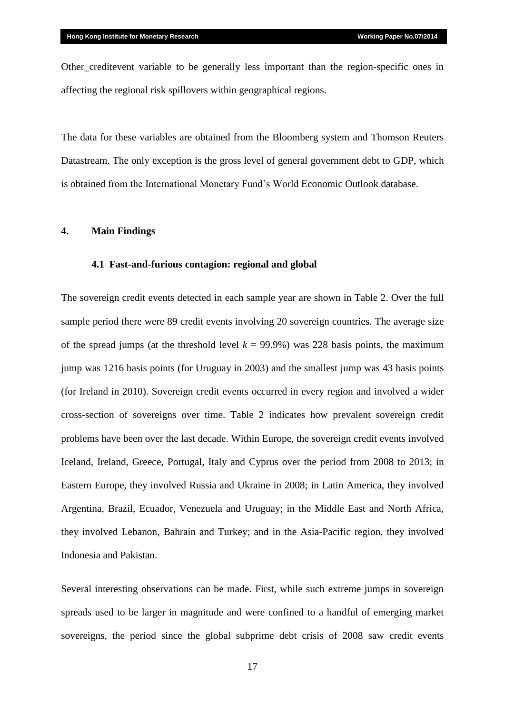Other\_creditevent variable to be generally less important than the region-specific ones in affecting the regional risk spillovers within geographical regions.

The data for these variables are obtained from the Bloomberg system and Thomson Reuters Datastream. The only exception is the gross level of general government debt to GDP, which is obtained from the International Monetary Fund's World Economic Outlook database.

#### **4. Main Findings**

#### **4.1 Fast-and-furious contagion: regional and global**

The sovereign credit events detected in each sample year are shown in Table 2. Over the full sample period there were 89 credit events involving 20 sovereign countries. The average size of the spread jumps (at the threshold level  $k = 99.9\%$ ) was 228 basis points, the maximum jump was 1216 basis points (for Uruguay in 2003) and the smallest jump was 43 basis points (for Ireland in 2010). Sovereign credit events occurred in every region and involved a wider cross-section of sovereigns over time. Table 2 indicates how prevalent sovereign credit problems have been over the last decade. Within Europe, the sovereign credit events involved Iceland, Ireland, Greece, Portugal, Italy and Cyprus over the period from 2008 to 2013; in Eastern Europe, they involved Russia and Ukraine in 2008; in Latin America, they involved Argentina, Brazil, Ecuador, Venezuela and Uruguay; in the Middle East and North Africa, they involved Lebanon, Bahrain and Turkey; and in the Asia-Pacific region, they involved Indonesia and Pakistan.

Several interesting observations can be made. First, while such extreme jumps in sovereign spreads used to be larger in magnitude and were confined to a handful of emerging market sovereigns, the period since the global subprime debt crisis of 2008 saw credit events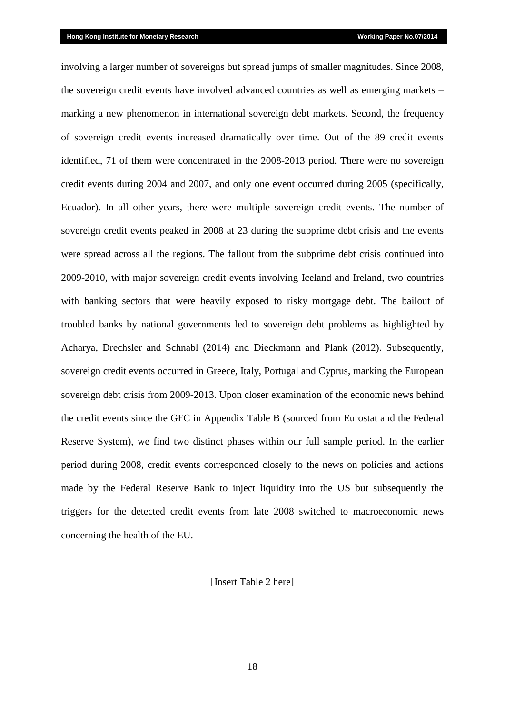involving a larger number of sovereigns but spread jumps of smaller magnitudes. Since 2008, the sovereign credit events have involved advanced countries as well as emerging markets – marking a new phenomenon in international sovereign debt markets. Second, the frequency of sovereign credit events increased dramatically over time. Out of the 89 credit events identified, 71 of them were concentrated in the 2008-2013 period. There were no sovereign credit events during 2004 and 2007, and only one event occurred during 2005 (specifically, Ecuador). In all other years, there were multiple sovereign credit events. The number of sovereign credit events peaked in 2008 at 23 during the subprime debt crisis and the events were spread across all the regions. The fallout from the subprime debt crisis continued into 2009-2010, with major sovereign credit events involving Iceland and Ireland, two countries with banking sectors that were heavily exposed to risky mortgage debt. The bailout of troubled banks by national governments led to sovereign debt problems as highlighted by Acharya, Drechsler and Schnabl (2014) and Dieckmann and Plank (2012). Subsequently, sovereign credit events occurred in Greece, Italy, Portugal and Cyprus, marking the European sovereign debt crisis from 2009-2013. Upon closer examination of the economic news behind the credit events since the GFC in Appendix Table B (sourced from Eurostat and the Federal Reserve System), we find two distinct phases within our full sample period. In the earlier period during 2008, credit events corresponded closely to the news on policies and actions made by the Federal Reserve Bank to inject liquidity into the US but subsequently the triggers for the detected credit events from late 2008 switched to macroeconomic news concerning the health of the EU.

#### [Insert Table 2 here]

18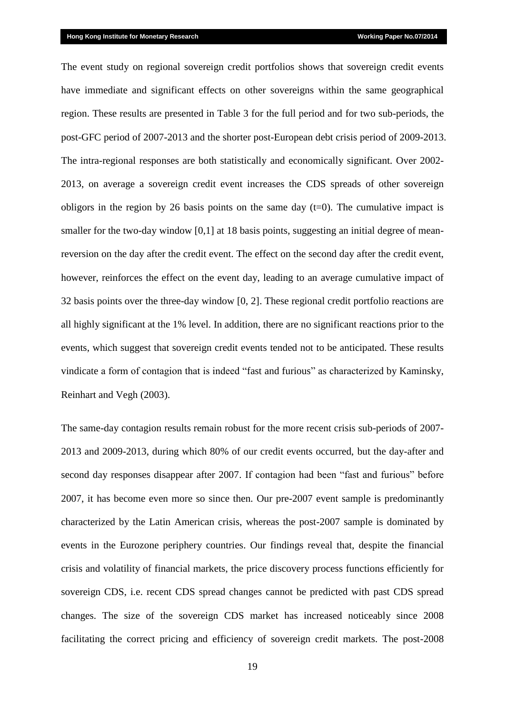The event study on regional sovereign credit portfolios shows that sovereign credit events have immediate and significant effects on other sovereigns within the same geographical region. These results are presented in Table 3 for the full period and for two sub-periods, the post-GFC period of 2007-2013 and the shorter post-European debt crisis period of 2009-2013. The intra-regional responses are both statistically and economically significant. Over 2002- 2013, on average a sovereign credit event increases the CDS spreads of other sovereign obligors in the region by 26 basis points on the same day  $(t=0)$ . The cumulative impact is smaller for the two-day window [0,1] at 18 basis points, suggesting an initial degree of meanreversion on the day after the credit event. The effect on the second day after the credit event, however, reinforces the effect on the event day, leading to an average cumulative impact of 32 basis points over the three-day window [0, 2]. These regional credit portfolio reactions are all highly significant at the 1% level. In addition, there are no significant reactions prior to the events, which suggest that sovereign credit events tended not to be anticipated. These results vindicate a form of contagion that is indeed "fast and furious" as characterized by Kaminsky, Reinhart and Vegh (2003).

The same-day contagion results remain robust for the more recent crisis sub-periods of 2007- 2013 and 2009-2013, during which 80% of our credit events occurred, but the day-after and second day responses disappear after 2007. If contagion had been "fast and furious" before 2007, it has become even more so since then. Our pre-2007 event sample is predominantly characterized by the Latin American crisis, whereas the post-2007 sample is dominated by events in the Eurozone periphery countries. Our findings reveal that, despite the financial crisis and volatility of financial markets, the price discovery process functions efficiently for sovereign CDS, i.e. recent CDS spread changes cannot be predicted with past CDS spread changes. The size of the sovereign CDS market has increased noticeably since 2008 facilitating the correct pricing and efficiency of sovereign credit markets. The post-2008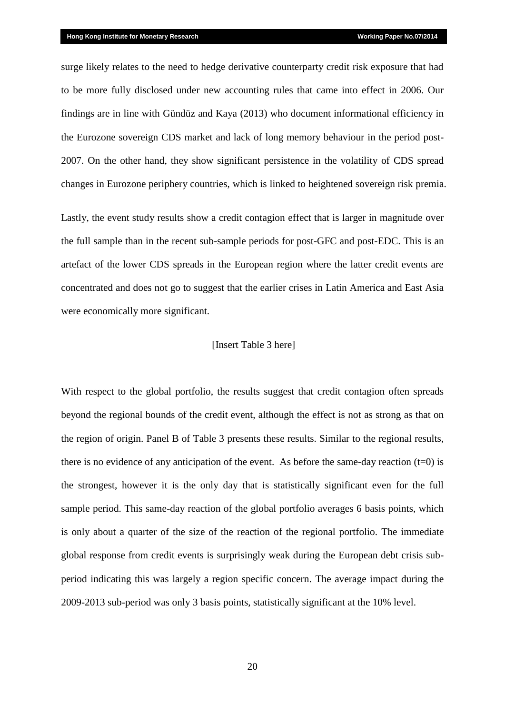surge likely relates to the need to hedge derivative counterparty credit risk exposure that had to be more fully disclosed under new accounting rules that came into effect in 2006. Our findings are in line with Gündüz and Kaya (2013) who document informational efficiency in the Eurozone sovereign CDS market and lack of long memory behaviour in the period post-2007. On the other hand, they show significant persistence in the volatility of CDS spread changes in Eurozone periphery countries, which is linked to heightened sovereign risk premia.

Lastly, the event study results show a credit contagion effect that is larger in magnitude over the full sample than in the recent sub-sample periods for post-GFC and post-EDC. This is an artefact of the lower CDS spreads in the European region where the latter credit events are concentrated and does not go to suggest that the earlier crises in Latin America and East Asia were economically more significant.

#### [Insert Table 3 here]

With respect to the global portfolio, the results suggest that credit contagion often spreads beyond the regional bounds of the credit event, although the effect is not as strong as that on the region of origin. Panel B of Table 3 presents these results. Similar to the regional results, there is no evidence of any anticipation of the event. As before the same-day reaction  $(t=0)$  is the strongest, however it is the only day that is statistically significant even for the full sample period. This same-day reaction of the global portfolio averages 6 basis points, which is only about a quarter of the size of the reaction of the regional portfolio. The immediate global response from credit events is surprisingly weak during the European debt crisis subperiod indicating this was largely a region specific concern. The average impact during the 2009-2013 sub-period was only 3 basis points, statistically significant at the 10% level.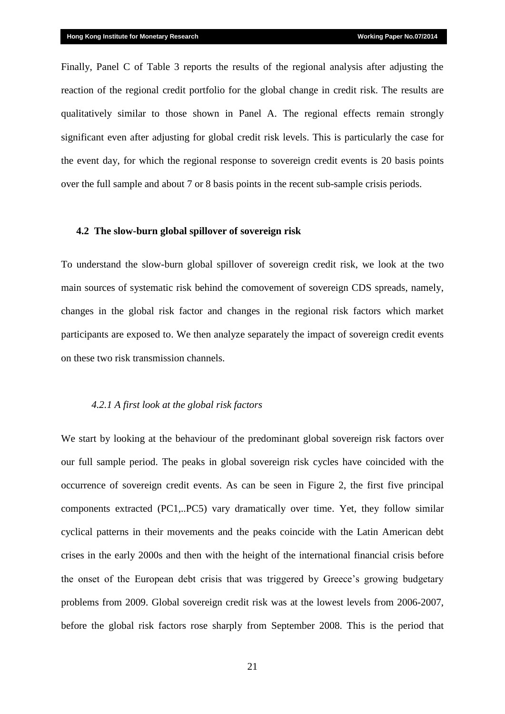Finally, Panel C of Table 3 reports the results of the regional analysis after adjusting the reaction of the regional credit portfolio for the global change in credit risk. The results are qualitatively similar to those shown in Panel A. The regional effects remain strongly significant even after adjusting for global credit risk levels. This is particularly the case for the event day, for which the regional response to sovereign credit events is 20 basis points over the full sample and about 7 or 8 basis points in the recent sub-sample crisis periods.

#### **4.2 The slow-burn global spillover of sovereign risk**

To understand the slow-burn global spillover of sovereign credit risk, we look at the two main sources of systematic risk behind the comovement of sovereign CDS spreads, namely, changes in the global risk factor and changes in the regional risk factors which market participants are exposed to. We then analyze separately the impact of sovereign credit events on these two risk transmission channels.

#### *4.2.1 A first look at the global risk factors*

We start by looking at the behaviour of the predominant global sovereign risk factors over our full sample period. The peaks in global sovereign risk cycles have coincided with the occurrence of sovereign credit events. As can be seen in Figure 2, the first five principal components extracted (PC1,..PC5) vary dramatically over time. Yet, they follow similar cyclical patterns in their movements and the peaks coincide with the Latin American debt crises in the early 2000s and then with the height of the international financial crisis before the onset of the European debt crisis that was triggered by Greece's growing budgetary problems from 2009. Global sovereign credit risk was at the lowest levels from 2006-2007, before the global risk factors rose sharply from September 2008. This is the period that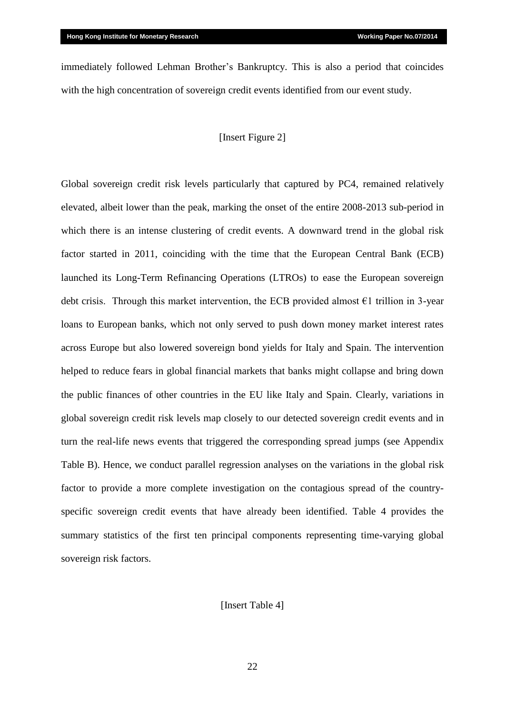immediately followed Lehman Brother's Bankruptcy. This is also a period that coincides with the high concentration of sovereign credit events identified from our event study.

## [Insert Figure 2]

Global sovereign credit risk levels particularly that captured by PC4, remained relatively elevated, albeit lower than the peak, marking the onset of the entire 2008-2013 sub-period in which there is an intense clustering of credit events. A downward trend in the global risk factor started in 2011, coinciding with the time that the European Central Bank (ECB) launched its Long-Term Refinancing Operations (LTROs) to ease the European sovereign debt crisis. Through this market intervention, the ECB provided almost  $\epsilon$ 1 trillion in 3-year loans to European banks, which not only served to push down money market interest rates across Europe but also lowered sovereign bond yields for Italy and Spain. The intervention helped to reduce fears in global financial markets that banks might collapse and bring down the public finances of other countries in the EU like Italy and Spain. Clearly, variations in global sovereign credit risk levels map closely to our detected sovereign credit events and in turn the real-life news events that triggered the corresponding spread jumps (see Appendix Table B). Hence, we conduct parallel regression analyses on the variations in the global risk factor to provide a more complete investigation on the contagious spread of the countryspecific sovereign credit events that have already been identified. Table 4 provides the summary statistics of the first ten principal components representing time-varying global sovereign risk factors.

[Insert Table 4]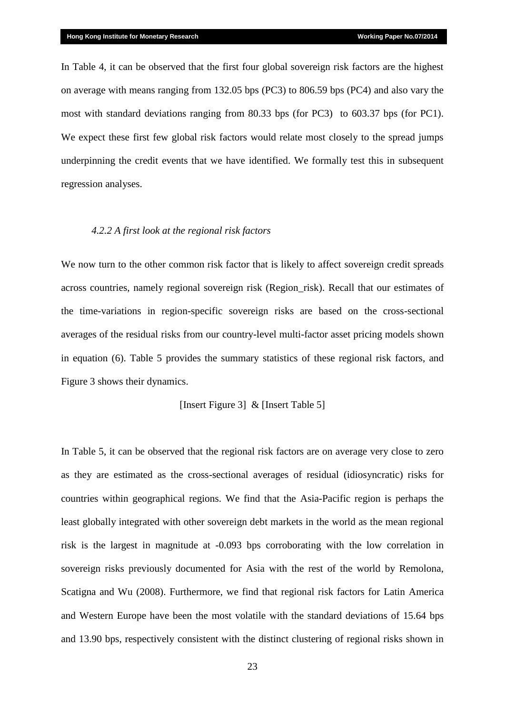In Table 4, it can be observed that the first four global sovereign risk factors are the highest on average with means ranging from 132.05 bps (PC3) to 806.59 bps (PC4) and also vary the most with standard deviations ranging from 80.33 bps (for PC3) to 603.37 bps (for PC1). We expect these first few global risk factors would relate most closely to the spread jumps underpinning the credit events that we have identified. We formally test this in subsequent regression analyses.

#### *4.2.2 A first look at the regional risk factors*

We now turn to the other common risk factor that is likely to affect sovereign credit spreads across countries, namely regional sovereign risk (Region\_risk). Recall that our estimates of the time-variations in region-specific sovereign risks are based on the cross-sectional averages of the residual risks from our country-level multi-factor asset pricing models shown in equation (6). Table 5 provides the summary statistics of these regional risk factors, and Figure 3 shows their dynamics.

#### [Insert Figure 3] & [Insert Table 5]

In Table 5, it can be observed that the regional risk factors are on average very close to zero as they are estimated as the cross-sectional averages of residual (idiosyncratic) risks for countries within geographical regions. We find that the Asia-Pacific region is perhaps the least globally integrated with other sovereign debt markets in the world as the mean regional risk is the largest in magnitude at -0.093 bps corroborating with the low correlation in sovereign risks previously documented for Asia with the rest of the world by Remolona, Scatigna and Wu (2008). Furthermore, we find that regional risk factors for Latin America and Western Europe have been the most volatile with the standard deviations of 15.64 bps and 13.90 bps, respectively consistent with the distinct clustering of regional risks shown in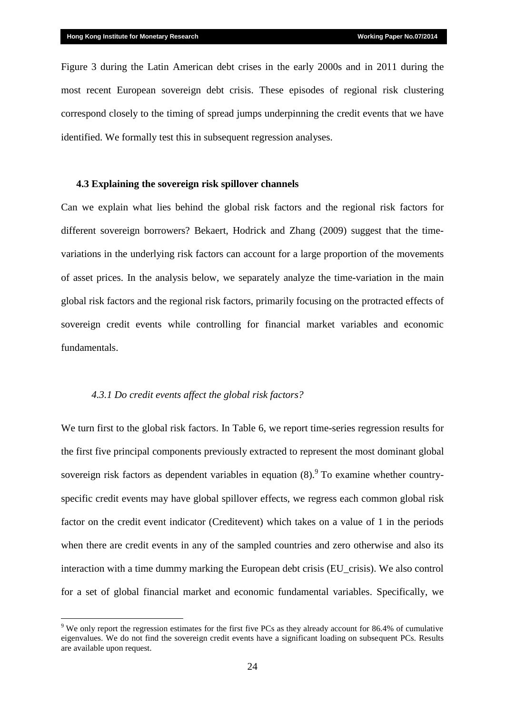Figure 3 during the Latin American debt crises in the early 2000s and in 2011 during the most recent European sovereign debt crisis. These episodes of regional risk clustering correspond closely to the timing of spread jumps underpinning the credit events that we have identified. We formally test this in subsequent regression analyses.

## **4.3 Explaining the sovereign risk spillover channels**

Can we explain what lies behind the global risk factors and the regional risk factors for different sovereign borrowers? Bekaert, Hodrick and Zhang (2009) suggest that the timevariations in the underlying risk factors can account for a large proportion of the movements of asset prices. In the analysis below, we separately analyze the time-variation in the main global risk factors and the regional risk factors, primarily focusing on the protracted effects of sovereign credit events while controlling for financial market variables and economic fundamentals.

#### *4.3.1 Do credit events affect the global risk factors?*

<u>.</u>

We turn first to the global risk factors. In Table 6, we report time-series regression results for the first five principal components previously extracted to represent the most dominant global sovereign risk factors as dependent variables in equation  $(8)$ . To examine whether countryspecific credit events may have global spillover effects, we regress each common global risk factor on the credit event indicator (Creditevent) which takes on a value of 1 in the periods when there are credit events in any of the sampled countries and zero otherwise and also its interaction with a time dummy marking the European debt crisis (EU\_crisis). We also control for a set of global financial market and economic fundamental variables. Specifically, we

<sup>&</sup>lt;sup>9</sup> We only report the regression estimates for the first five PCs as they already account for 86.4% of cumulative eigenvalues. We do not find the sovereign credit events have a significant loading on subsequent PCs. Results are available upon request.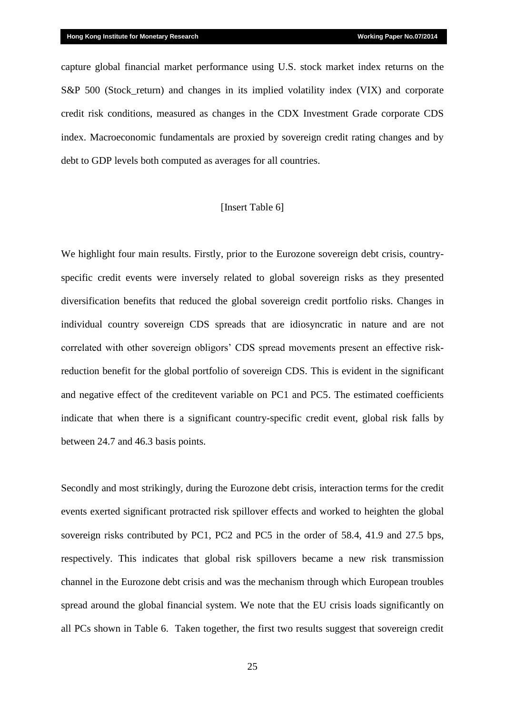capture global financial market performance using U.S. stock market index returns on the S&P 500 (Stock return) and changes in its implied volatility index (VIX) and corporate credit risk conditions, measured as changes in the CDX Investment Grade corporate CDS index. Macroeconomic fundamentals are proxied by sovereign credit rating changes and by debt to GDP levels both computed as averages for all countries.

#### [Insert Table 6]

We highlight four main results. Firstly, prior to the Eurozone sovereign debt crisis, countryspecific credit events were inversely related to global sovereign risks as they presented diversification benefits that reduced the global sovereign credit portfolio risks. Changes in individual country sovereign CDS spreads that are idiosyncratic in nature and are not correlated with other sovereign obligors' CDS spread movements present an effective riskreduction benefit for the global portfolio of sovereign CDS. This is evident in the significant and negative effect of the creditevent variable on PC1 and PC5. The estimated coefficients indicate that when there is a significant country-specific credit event, global risk falls by between 24.7 and 46.3 basis points.

Secondly and most strikingly, during the Eurozone debt crisis, interaction terms for the credit events exerted significant protracted risk spillover effects and worked to heighten the global sovereign risks contributed by PC1, PC2 and PC5 in the order of 58.4, 41.9 and 27.5 bps, respectively. This indicates that global risk spillovers became a new risk transmission channel in the Eurozone debt crisis and was the mechanism through which European troubles spread around the global financial system. We note that the EU crisis loads significantly on all PCs shown in Table 6. Taken together, the first two results suggest that sovereign credit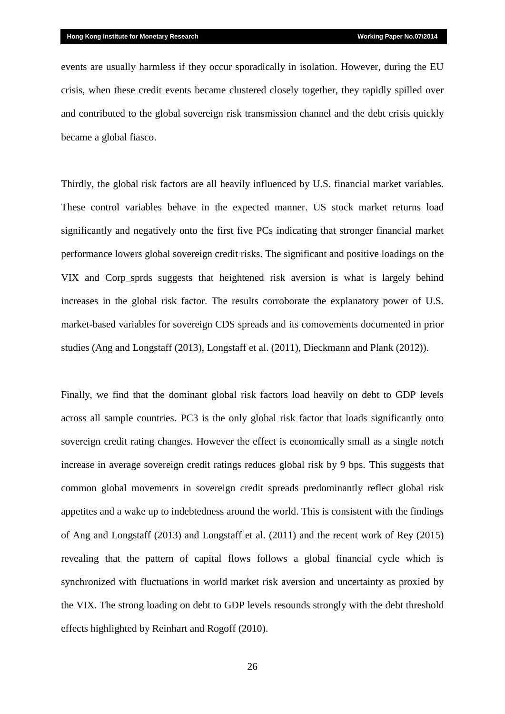events are usually harmless if they occur sporadically in isolation. However, during the EU crisis, when these credit events became clustered closely together, they rapidly spilled over and contributed to the global sovereign risk transmission channel and the debt crisis quickly became a global fiasco.

Thirdly, the global risk factors are all heavily influenced by U.S. financial market variables. These control variables behave in the expected manner. US stock market returns load significantly and negatively onto the first five PCs indicating that stronger financial market performance lowers global sovereign credit risks. The significant and positive loadings on the VIX and Corp\_sprds suggests that heightened risk aversion is what is largely behind increases in the global risk factor. The results corroborate the explanatory power of U.S. market-based variables for sovereign CDS spreads and its comovements documented in prior studies (Ang and Longstaff (2013), Longstaff et al. (2011), Dieckmann and Plank (2012)).

Finally, we find that the dominant global risk factors load heavily on debt to GDP levels across all sample countries. PC3 is the only global risk factor that loads significantly onto sovereign credit rating changes. However the effect is economically small as a single notch increase in average sovereign credit ratings reduces global risk by 9 bps. This suggests that common global movements in sovereign credit spreads predominantly reflect global risk appetites and a wake up to indebtedness around the world. This is consistent with the findings of Ang and Longstaff (2013) and Longstaff et al. (2011) and the recent work of Rey (2015) revealing that the pattern of capital flows follows a global financial cycle which is synchronized with fluctuations in world market risk aversion and uncertainty as proxied by the VIX. The strong loading on debt to GDP levels resounds strongly with the debt threshold effects highlighted by Reinhart and Rogoff (2010).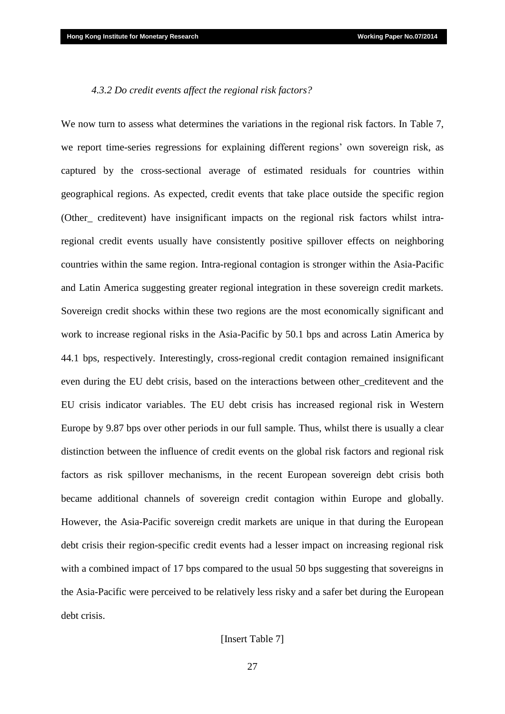#### *4.3.2 Do credit events affect the regional risk factors?*

We now turn to assess what determines the variations in the regional risk factors. In Table 7, we report time-series regressions for explaining different regions' own sovereign risk, as captured by the cross-sectional average of estimated residuals for countries within geographical regions. As expected, credit events that take place outside the specific region (Other\_ creditevent) have insignificant impacts on the regional risk factors whilst intraregional credit events usually have consistently positive spillover effects on neighboring countries within the same region. Intra-regional contagion is stronger within the Asia-Pacific and Latin America suggesting greater regional integration in these sovereign credit markets. Sovereign credit shocks within these two regions are the most economically significant and work to increase regional risks in the Asia-Pacific by 50.1 bps and across Latin America by 44.1 bps, respectively. Interestingly, cross-regional credit contagion remained insignificant even during the EU debt crisis, based on the interactions between other\_creditevent and the EU crisis indicator variables. The EU debt crisis has increased regional risk in Western Europe by 9.87 bps over other periods in our full sample. Thus, whilst there is usually a clear distinction between the influence of credit events on the global risk factors and regional risk factors as risk spillover mechanisms, in the recent European sovereign debt crisis both became additional channels of sovereign credit contagion within Europe and globally. However, the Asia-Pacific sovereign credit markets are unique in that during the European debt crisis their region-specific credit events had a lesser impact on increasing regional risk with a combined impact of 17 bps compared to the usual 50 bps suggesting that sovereigns in the Asia-Pacific were perceived to be relatively less risky and a safer bet during the European debt crisis.

## [Insert Table 7]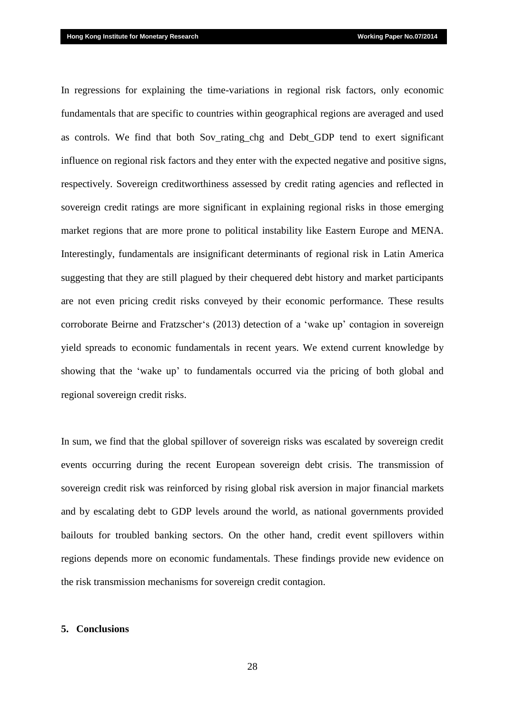In regressions for explaining the time-variations in regional risk factors, only economic fundamentals that are specific to countries within geographical regions are averaged and used as controls. We find that both Sov rating chg and Debt GDP tend to exert significant influence on regional risk factors and they enter with the expected negative and positive signs, respectively. Sovereign creditworthiness assessed by credit rating agencies and reflected in sovereign credit ratings are more significant in explaining regional risks in those emerging market regions that are more prone to political instability like Eastern Europe and MENA. Interestingly, fundamentals are insignificant determinants of regional risk in Latin America suggesting that they are still plagued by their chequered debt history and market participants are not even pricing credit risks conveyed by their economic performance. These results corroborate Beirne and Fratzscher's (2013) detection of a 'wake up' contagion in sovereign yield spreads to economic fundamentals in recent years. We extend current knowledge by showing that the 'wake up' to fundamentals occurred via the pricing of both global and regional sovereign credit risks.

In sum, we find that the global spillover of sovereign risks was escalated by sovereign credit events occurring during the recent European sovereign debt crisis. The transmission of sovereign credit risk was reinforced by rising global risk aversion in major financial markets and by escalating debt to GDP levels around the world, as national governments provided bailouts for troubled banking sectors. On the other hand, credit event spillovers within regions depends more on economic fundamentals. These findings provide new evidence on the risk transmission mechanisms for sovereign credit contagion.

#### **5. Conclusions**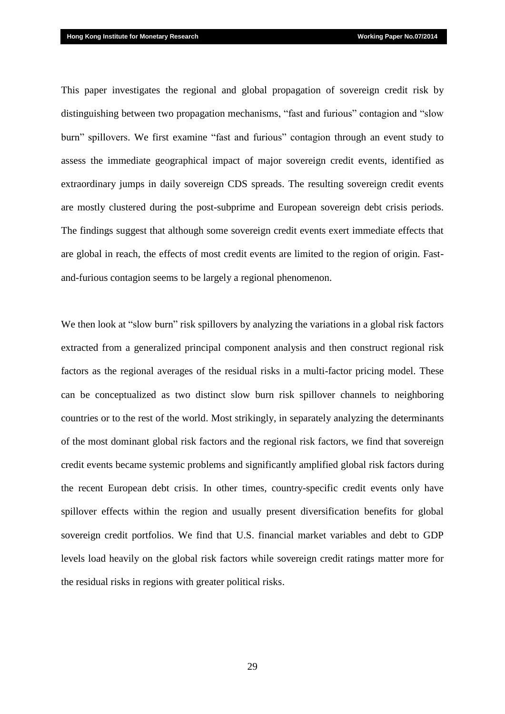This paper investigates the regional and global propagation of sovereign credit risk by distinguishing between two propagation mechanisms, "fast and furious" contagion and "slow burn" spillovers. We first examine "fast and furious" contagion through an event study to assess the immediate geographical impact of major sovereign credit events, identified as extraordinary jumps in daily sovereign CDS spreads. The resulting sovereign credit events are mostly clustered during the post-subprime and European sovereign debt crisis periods. The findings suggest that although some sovereign credit events exert immediate effects that are global in reach, the effects of most credit events are limited to the region of origin. Fastand-furious contagion seems to be largely a regional phenomenon.

We then look at "slow burn" risk spillovers by analyzing the variations in a global risk factors extracted from a generalized principal component analysis and then construct regional risk factors as the regional averages of the residual risks in a multi-factor pricing model. These can be conceptualized as two distinct slow burn risk spillover channels to neighboring countries or to the rest of the world. Most strikingly, in separately analyzing the determinants of the most dominant global risk factors and the regional risk factors, we find that sovereign credit events became systemic problems and significantly amplified global risk factors during the recent European debt crisis. In other times, country-specific credit events only have spillover effects within the region and usually present diversification benefits for global sovereign credit portfolios. We find that U.S. financial market variables and debt to GDP levels load heavily on the global risk factors while sovereign credit ratings matter more for the residual risks in regions with greater political risks.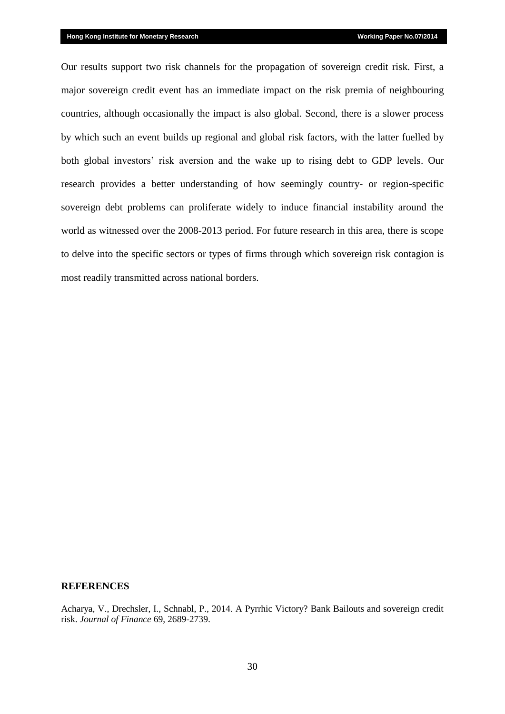Our results support two risk channels for the propagation of sovereign credit risk. First, a major sovereign credit event has an immediate impact on the risk premia of neighbouring countries, although occasionally the impact is also global. Second, there is a slower process by which such an event builds up regional and global risk factors, with the latter fuelled by both global investors' risk aversion and the wake up to rising debt to GDP levels. Our research provides a better understanding of how seemingly country- or region-specific sovereign debt problems can proliferate widely to induce financial instability around the world as witnessed over the 2008-2013 period. For future research in this area, there is scope to delve into the specific sectors or types of firms through which sovereign risk contagion is most readily transmitted across national borders.

#### **REFERENCES**

Acharya, V., Drechsler, I., Schnabl, P., 2014. A Pyrrhic Victory? Bank Bailouts and sovereign credit risk. *Journal of Finance* 69, 2689-2739.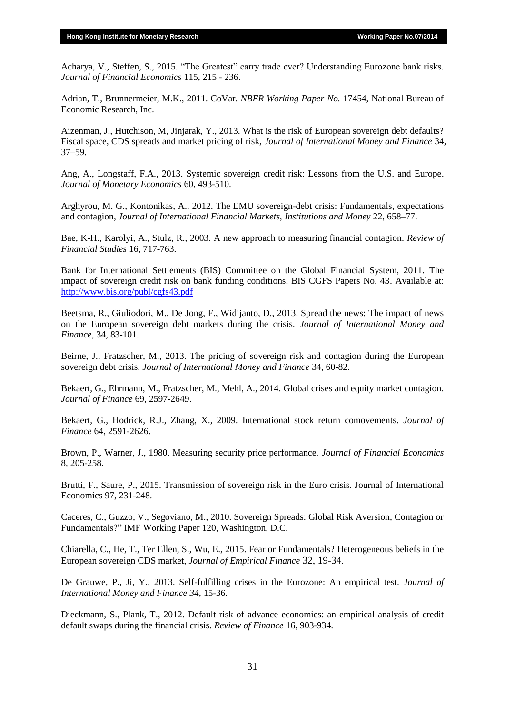Acharya, V., Steffen, S., 2015. "The Greatest" carry trade ever? Understanding Eurozone bank risks. *Journal of Financial Economics* 115, 215 - 236.

Adrian, T., Brunnermeier, M.K., 2011. CoVar. *NBER Working Paper No.* 17454, National Bureau of Economic Research, Inc.

Aizenman, J., Hutchison, M, Jinjarak, Y., 2013. What is the risk of European sovereign debt defaults? Fiscal space, CDS spreads and market pricing of risk, *Journal of International Money and Finance* 34, 37–59.

Ang, A., Longstaff, F.A., 2013. Systemic sovereign credit risk: Lessons from the U.S. and Europe. *Journal of Monetary Economics* 60, 493-510.

Arghyrou, M. G., Kontonikas, A., 2012. The EMU sovereign-debt crisis: Fundamentals, expectations and contagion, *Journal of International Financial Markets, Institutions and Money* 22, 658–77.

Bae, K-H., Karolyi, A., Stulz, R., 2003. A new approach to measuring financial contagion. *Review of Financial Studies* 16, 717-763.

Bank for International Settlements (BIS) Committee on the Global Financial System, 2011. The impact of sovereign credit risk on bank funding conditions. BIS CGFS Papers No. 43. Available at: <http://www.bis.org/publ/cgfs43.pdf>

Beetsma, R., Giuliodori, M., De Jong, F., Widijanto, D., 2013. Spread the news: The impact of news on the European sovereign debt markets during the crisis. *Journal of International Money and Finance,* 34, 83-101.

Beirne, J., Fratzscher, M., 2013. The pricing of sovereign risk and contagion during the European sovereign debt crisis. *Journal of International Money and Finance* 34, 60-82.

Bekaert, G., Ehrmann, M., Fratzscher, M., Mehl, A., 2014. Global crises and equity market contagion. *Journal of Finance* 69, 2597-2649.

Bekaert, G., Hodrick, R.J., Zhang, X., 2009. International stock return comovements. *Journal of Finance* 64, 2591-2626.

Brown, P., Warner, J., 1980. Measuring security price performance. *Journal of Financial Economics* 8, 205-258.

Brutti, F., Saure, P., 2015. Transmission of sovereign risk in the Euro crisis. Journal of International Economics 97, 231-248.

Caceres, C., Guzzo, V., Segoviano, M., 2010. Sovereign Spreads: Global Risk Aversion, Contagion or Fundamentals?" IMF Working Paper 120, Washington, D.C.

Chiarella, C., He, T., Ter Ellen, S., Wu, E., 2015. Fear or Fundamentals? Heterogeneous beliefs in the European sovereign CDS market, *Journal of Empirical Finance* 32, 19-34.

De Grauwe, P., Ji, Y., 2013. Self-fulfilling crises in the Eurozone: An empirical test. *Journal of International Money and Finance 34,* 15-36.

Dieckmann, S., Plank, T., 2012. Default risk of advance economies: an empirical analysis of credit default swaps during the financial crisis. *Review of Finance* 16, 903-934.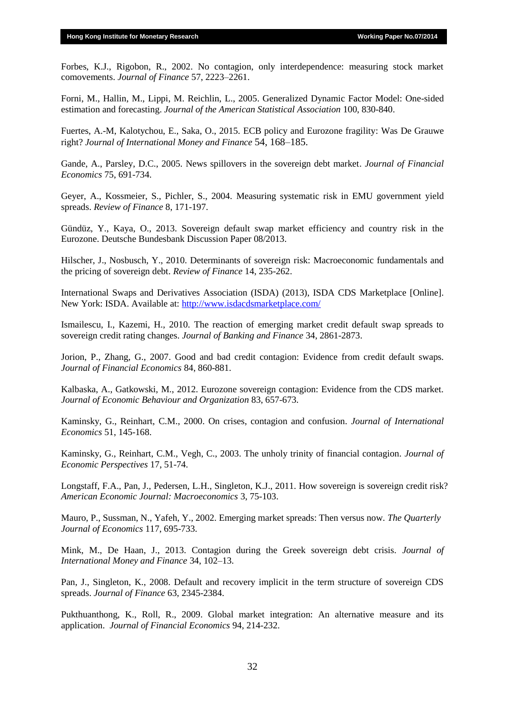Forbes, K.J., Rigobon, R., 2002. No contagion, only interdependence: measuring stock market comovements. *Journal of Finance* 57, 2223–2261.

Forni, M., Hallin, M., Lippi, M. Reichlin, L., 2005. Generalized Dynamic Factor Model: One-sided estimation and forecasting. *Journal of the American Statistical Association* 100, 830-840.

Fuertes, A.-M, Kalotychou, E., Saka, O., 2015. ECB policy and Eurozone fragility: Was De Grauwe right? *Journal of International Money and Finance* 54, 168–185.

Gande, A., Parsley, D.C., 2005. News spillovers in the sovereign debt market. *Journal of Financial Economics* 75, 691-734.

Geyer, A., Kossmeier, S., Pichler, S., 2004. Measuring systematic risk in EMU government yield spreads. *Review of Finance* 8, 171-197.

Gündüz, Y., Kaya, O., 2013. Sovereign default swap market efficiency and country risk in the Eurozone. Deutsche Bundesbank Discussion Paper 08/2013.

Hilscher, J., Nosbusch, Y., 2010. Determinants of sovereign risk: Macroeconomic fundamentals and the pricing of sovereign debt. *Review of Finance* 14, 235-262.

International Swaps and Derivatives Association (ISDA) (2013), ISDA CDS Marketplace [Online]. New York: ISDA. Available at:<http://www.isdacdsmarketplace.com/>

Ismailescu, I., Kazemi, H., 2010. The reaction of emerging market credit default swap spreads to sovereign credit rating changes. *Journal of Banking and Finance* 34, 2861-2873.

Jorion, P., Zhang, G., 2007. Good and bad credit contagion: Evidence from credit default swaps. *Journal of Financial Economics* 84, 860-881.

Kalbaska, A., Gatkowski, M., 2012. Eurozone sovereign contagion: Evidence from the CDS market. *Journal of Economic Behaviour and Organization* 83, 657-673.

Kaminsky, G., Reinhart, C.M., 2000. On crises, contagion and confusion. *Journal of International Economics* 51, 145-168.

Kaminsky, G., Reinhart, C.M., Vegh, C., 2003. The unholy trinity of financial contagion. *Journal of Economic Perspectives* 17, 51-74.

Longstaff, F.A., Pan, J., Pedersen, L.H., Singleton, K.J., 2011. How sovereign is sovereign credit risk? *American Economic Journal: Macroeconomics* 3, 75-103.

Mauro, P., Sussman, N., Yafeh, Y., 2002. Emerging market spreads: Then versus now. *The Quarterly Journal of Economics* 117, 695-733.

Mink, M., De Haan, J., 2013. Contagion during the Greek sovereign debt crisis. *Journal of International Money and Finance* 34, 102–13.

Pan, J., Singleton, K., 2008. Default and recovery implicit in the term structure of sovereign CDS spreads. *Journal of Finance* 63, 2345-2384.

Pukthuanthong, K., Roll, R., 2009. Global market integration: An alternative measure and its application. *Journal of Financial Economics* 94, 214-232.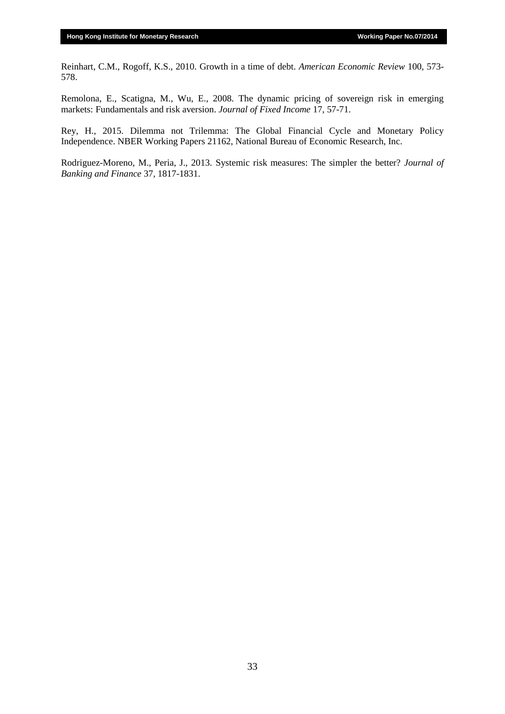Reinhart, C.M., Rogoff, K.S., 2010. Growth in a time of debt. *American Economic Review* 100, 573- 578.

Remolona, E., Scatigna, M., Wu, E., 2008. The dynamic pricing of sovereign risk in emerging markets: Fundamentals and risk aversion. *Journal of Fixed Income* 17, 57-71.

Rey, H., 2015. Dilemma not Trilemma: The Global Financial Cycle and Monetary Policy Independence. NBER Working Papers 21162, National Bureau of Economic Research, Inc.

Rodriguez-Moreno, M., Peria, J., 2013. Systemic risk measures: The simpler the better? *Journal of Banking and Finance* 37, 1817-1831.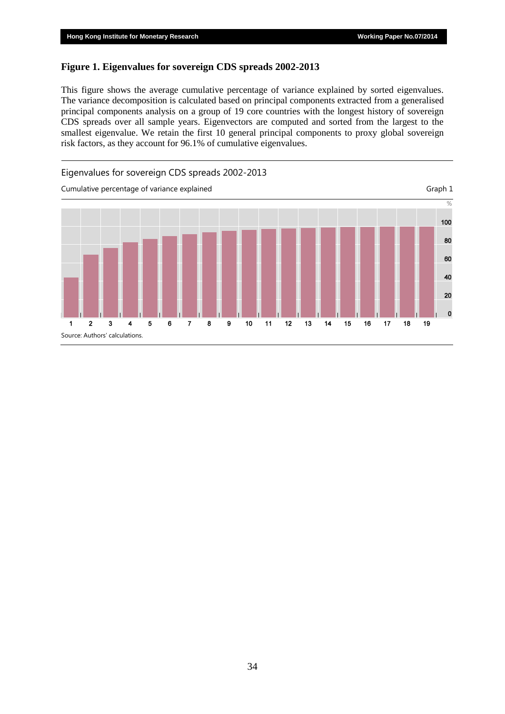#### **Figure 1. Eigenvalues for sovereign CDS spreads 2002-2013**

This figure shows the average cumulative percentage of variance explained by sorted eigenvalues. The variance decomposition is calculated based on principal components extracted from a generalised principal components analysis on a group of 19 core countries with the longest history of sovereign CDS spreads over all sample years. Eigenvectors are computed and sorted from the largest to the smallest eigenvalue. We retain the first 10 general principal components to proxy global sovereign risk factors, as they account for 96.1% of cumulative eigenvalues.

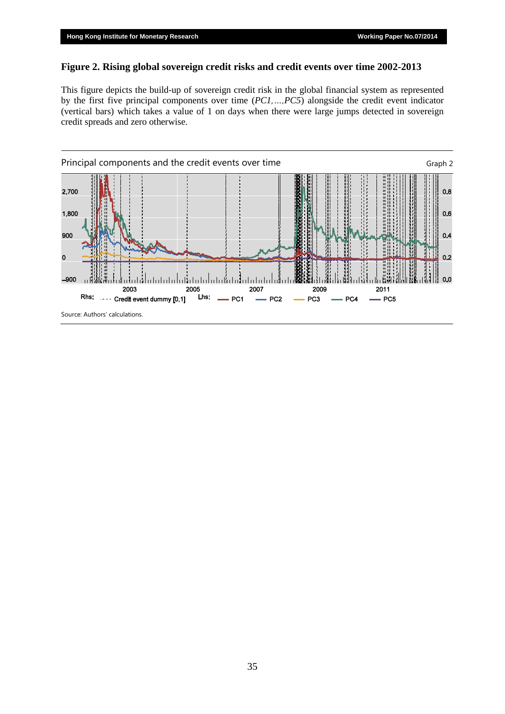### **Figure 2. Rising global sovereign credit risks and credit events over time 2002-2013**

This figure depicts the build-up of sovereign credit risk in the global financial system as represented by the first five principal components over time (*PC1,…,PC5*) alongside the credit event indicator (vertical bars) which takes a value of 1 on days when there were large jumps detected in sovereign credit spreads and zero otherwise.

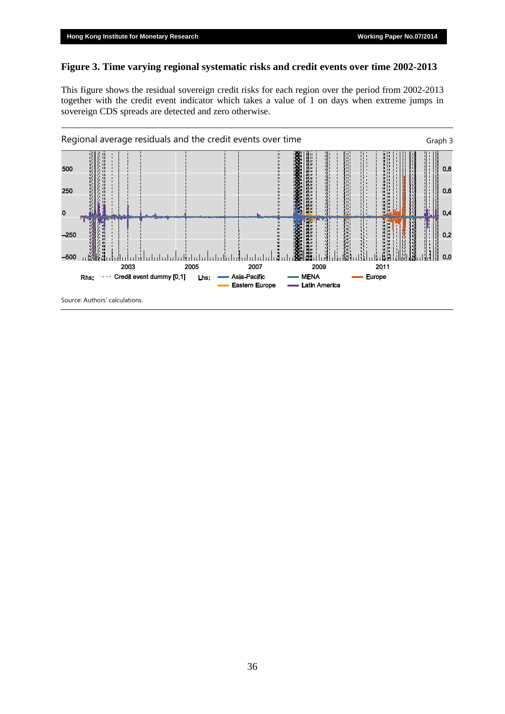## **Figure 3. Time varying regional systematic risks and credit events over time 2002-2013**

This figure shows the residual sovereign credit risks for each region over the period from 2002-2013 together with the credit event indicator which takes a value of 1 on days when extreme jumps in sovereign CDS spreads are detected and zero otherwise.



Source: Authors' calculations.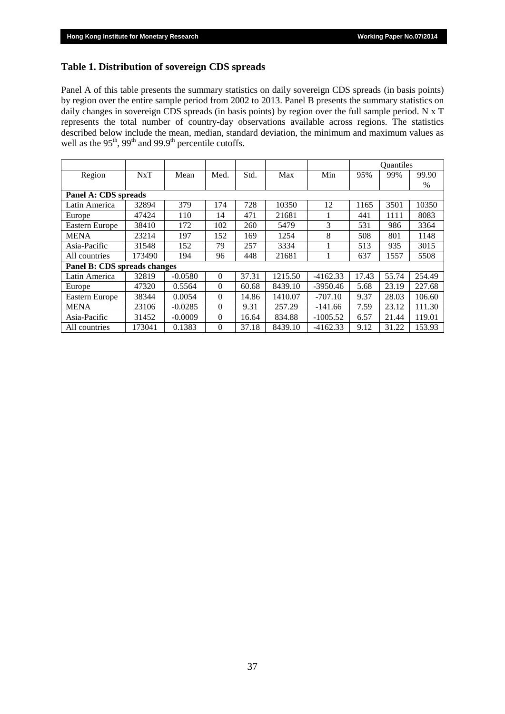## **Table 1. Distribution of sovereign CDS spreads**

Panel A of this table presents the summary statistics on daily sovereign CDS spreads (in basis points) by region over the entire sample period from 2002 to 2013. Panel B presents the summary statistics on daily changes in sovereign CDS spreads (in basis points) by region over the full sample period. N x T represents the total number of country-day observations available across regions. The statistics described below include the mean, median, standard deviation, the minimum and maximum values as well as the  $95<sup>th</sup>$ ,  $99<sup>th</sup>$  and  $99.9<sup>th</sup>$  percentile cutoffs.

|                              |                      |           |          |       |         |            |       | Quantiles |               |  |  |
|------------------------------|----------------------|-----------|----------|-------|---------|------------|-------|-----------|---------------|--|--|
| Region                       | NxT                  | Mean      | Med.     | Std.  | Max     | Min        | 95%   | 99%       | 99.90         |  |  |
|                              |                      |           |          |       |         |            |       |           | $\frac{0}{0}$ |  |  |
|                              | Panel A: CDS spreads |           |          |       |         |            |       |           |               |  |  |
| Latin America                | 32894                | 379       | 174      | 728   | 10350   | 12         | 1165  | 3501      | 10350         |  |  |
| Europe                       | 47424                | 110       | 14       | 471   | 21681   |            | 441   | 1111      | 8083          |  |  |
| Eastern Europe               | 38410                | 172       | 102      | 260   | 5479    | 3          | 531   | 986       | 3364          |  |  |
| <b>MENA</b>                  | 23214                | 197       | 152      | 169   | 1254    | 8          | 508   | 801       | 1148          |  |  |
| Asia-Pacific                 | 31548                | 152       | 79       | 257   | 3334    |            | 513   | 935       | 3015          |  |  |
| All countries                | 173490               | 194       | 96       | 448   | 21681   |            | 637   | 1557      | 5508          |  |  |
| Panel B: CDS spreads changes |                      |           |          |       |         |            |       |           |               |  |  |
| Latin America                | 32819                | $-0.0580$ | $\Omega$ | 37.31 | 1215.50 | $-4162.33$ | 17.43 | 55.74     | 254.49        |  |  |
| Europe                       | 47320                | 0.5564    | $\Omega$ | 60.68 | 8439.10 | $-3950.46$ | 5.68  | 23.19     | 227.68        |  |  |
| Eastern Europe               | 38344                | 0.0054    | $\Omega$ | 14.86 | 1410.07 | $-707.10$  | 9.37  | 28.03     | 106.60        |  |  |
| <b>MENA</b>                  | 23106                | $-0.0285$ | $\theta$ | 9.31  | 257.29  | $-141.66$  | 7.59  | 23.12     | 111.30        |  |  |
| Asia-Pacific                 | 31452                | $-0.0009$ | $\Omega$ | 16.64 | 834.88  | $-1005.52$ | 6.57  | 21.44     | 119.01        |  |  |
| All countries                | 173041               | 0.1383    | $\Omega$ | 37.18 | 8439.10 | $-4162.33$ | 9.12  | 31.22     | 153.93        |  |  |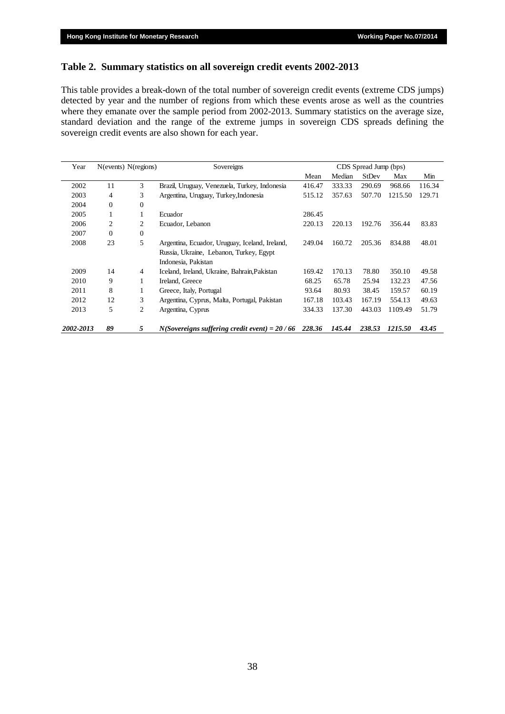### **Table 2. Summary statistics on all sovereign credit events 2002-2013**

This table provides a break-down of the total number of sovereign credit events (extreme CDS jumps) detected by year and the number of regions from which these events arose as well as the countries where they emanate over the sample period from 2002-2013. Summary statistics on the average size, standard deviation and the range of the extreme jumps in sovereign CDS spreads defining the sovereign credit events are also shown for each year.

| Year      | N(events) N(regions) |                | Sovereigns                                     |        |        |        |         |        |
|-----------|----------------------|----------------|------------------------------------------------|--------|--------|--------|---------|--------|
|           |                      |                |                                                | Mean   | Median | StDev  | Max     | Min    |
| 2002      | 11                   | 3              | Brazil, Uruguay, Venezuela, Turkey, Indonesia  | 416.47 | 333.33 | 290.69 | 968.66  | 116.34 |
| 2003      | 4                    | 3              | Argentina, Uruguay, Turkey, Indonesia          | 515.12 | 357.63 | 507.70 | 1215.50 | 129.71 |
| 2004      | $\mathbf{0}$         | $\mathbf{0}$   |                                                |        |        |        |         |        |
| 2005      |                      | 1              | Ecuador                                        | 286.45 |        |        |         |        |
| 2006      | 2                    | 2              | Ecuador, Lebanon                               | 220.13 | 220.13 | 192.76 | 356.44  | 83.83  |
| 2007      | $\Omega$             | $\mathbf{0}$   |                                                |        |        |        |         |        |
| 2008      | 23                   | 5              | Argentina, Ecuador, Uruguay, Iceland, Ireland, | 249.04 | 160.72 | 205.36 | 834.88  | 48.01  |
|           |                      |                | Russia, Ukraine, Lebanon, Turkey, Egypt        |        |        |        |         |        |
|           |                      |                | Indonesia, Pakistan                            |        |        |        |         |        |
| 2009      | 14                   | $\overline{4}$ | Iceland, Ireland, Ukraine, Bahrain, Pakistan   | 169.42 | 170.13 | 78.80  | 350.10  | 49.58  |
| 2010      | 9                    | 1              | Ireland, Greece                                | 68.25  | 65.78  | 25.94  | 132.23  | 47.56  |
| 2011      | 8                    | 1              | Greece, Italy, Portugal                        | 93.64  | 80.93  | 38.45  | 159.57  | 60.19  |
| 2012      | 12                   | 3              | Argentina, Cyprus, Malta, Portugal, Pakistan   | 167.18 | 103.43 | 167.19 | 554.13  | 49.63  |
| 2013      | 5                    | 2              | Argentina, Cyprus                              | 334.33 | 137.30 | 443.03 | 1109.49 | 51.79  |
| 2002-2013 | 89                   | 5              | $N(Sovereigns suffering credit event) = 20/66$ | 228.36 | 145.44 | 238.53 | 1215.50 | 43.45  |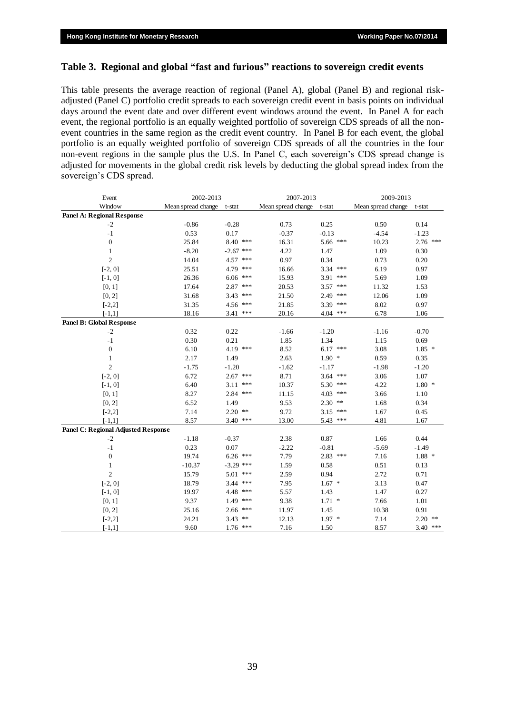#### **Table 3. Regional and global "fast and furious" reactions to sovereign credit events**

This table presents the average reaction of regional (Panel A), global (Panel B) and regional riskadjusted (Panel C) portfolio credit spreads to each sovereign credit event in basis points on individual days around the event date and over different event windows around the event. In Panel A for each event, the regional portfolio is an equally weighted portfolio of sovereign CDS spreads of all the nonevent countries in the same region as the credit event country. In Panel B for each event, the global portfolio is an equally weighted portfolio of sovereign CDS spreads of all the countries in the four non-event regions in the sample plus the U.S. In Panel C, each sovereign's CDS spread change is adjusted for movements in the global credit risk levels by deducting the global spread index from the sovereign's CDS spread.

| Event                               | 2002-2013          |             | 2007-2013                 |             | 2009-2013          |            |  |
|-------------------------------------|--------------------|-------------|---------------------------|-------------|--------------------|------------|--|
| Window                              | Mean spread change | t-stat      | Mean spread change t-stat |             | Mean spread change | t-stat     |  |
| <b>Panel A: Regional Response</b>   |                    |             |                           |             |                    |            |  |
| $-2$                                | $-0.86$            | $-0.28$     | 0.73                      | 0.25        | 0.50               | 0.14       |  |
| $-1$                                | 0.53               | 0.17        | $-0.37$                   | $-0.13$     | $-4.54$            | $-1.23$    |  |
| $\boldsymbol{0}$                    | 25.84              | 8.40 ***    | 16.31                     | 5.66 ***    | 10.23              | 2.76 ***   |  |
| $\mathbf{1}$                        | $-8.20$            | $-2.67$ *** | 4.22                      | 1.47        | 1.09               | 0.30       |  |
| $\overline{c}$                      | 14.04              | 4.57 ***    | 0.97                      | 0.34        | 0.73               | 0.20       |  |
| $[-2, 0]$                           | 25.51              | 4.79 ***    | 16.66                     | $3.34$ ***  | 6.19               | 0.97       |  |
| $[-1, 0]$                           | 26.36              | $6.06$ ***  | 15.93                     | 3.91<br>*** | 5.69               | 1.09       |  |
| [0, 1]                              | 17.64              | $2.87$ ***  | 20.53                     | $3.57$ ***  | 11.32              | 1.53       |  |
| [0, 2]                              | 31.68              | $3.43$ ***  | 21.50                     | 2.49 ***    | 12.06              | 1.09       |  |
| $[-2,2]$                            | 31.35              | 4.56 ***    | 21.85                     | 3.39 ***    | 8.02               | 0.97       |  |
| $[-1,1]$                            | 18.16              | $3.41$ ***  | 20.16                     | $4.04$ ***  | 6.78               | 1.06       |  |
| <b>Panel B: Global Response</b>     |                    |             |                           |             |                    |            |  |
| $-2$                                | 0.32               | 0.22        | $-1.66$                   | $-1.20$     | $-1.16$            | $-0.70$    |  |
| $-1$                                | 0.30               | 0.21        | 1.85                      | 1.34        | 1.15               | 0.69       |  |
| $\boldsymbol{0}$                    | 6.10               | 4.19 ***    | 8.52                      | $6.17$ ***  | 3.08               | $1.85*$    |  |
| $\mathbf{1}$                        | 2.17               | 1.49        | 2.63                      | $1.90*$     | 0.59               | 0.35       |  |
| $\overline{c}$                      | $-1.75$            | $-1.20$     | $-1.62$                   | $-1.17$     | $-1.98$            | $-1.20$    |  |
| $[-2, 0]$                           | 6.72               | $2.67$ ***  | 8.71                      | $3.64$ ***  | 3.06               | 1.07       |  |
| $[-1, 0]$                           | 6.40               | $3.11$ ***  | 10.37                     | 5.30 ***    | 4.22               | $1.80*$    |  |
| [0, 1]                              | 8.27               | $2.84$ ***  | 11.15                     | $4.03$ ***  | 3.66               | 1.10       |  |
| [0, 2]                              | 6.52               | 1.49        | 9.53                      | $2.30$ **   | 1.68               | 0.34       |  |
| $[-2,2]$                            | 7.14               | $2.20$ **   | 9.72                      | $3.15$ ***  | 1.67               | 0.45       |  |
| $[-1,1]$                            | 8.57               | $3.40$ ***  | 13.00                     | 5.43 ***    | 4.81               | 1.67       |  |
| Panel C: Regional Adjusted Response |                    |             |                           |             |                    |            |  |
| $-2$                                | $-1.18$            | $-0.37$     | 2.38                      | 0.87        | 1.66               | 0.44       |  |
| $-1$                                | 0.23               | 0.07        | $-2.22$                   | $-0.81$     | $-5.69$            | $-1.49$    |  |
| $\boldsymbol{0}$                    | 19.74              | $6.26$ ***  | 7.79                      | $2.83$ ***  | 7.16               | $1.88*$    |  |
| $\mathbf{1}$                        | $-10.37$           | $-3.29$ *** | 1.59                      | 0.58        | 0.51               | 0.13       |  |
| $\overline{c}$                      | 15.79              | 5.01 ***    | 2.59                      | 0.94        | 2.72               | 0.71       |  |
| $[-2, 0]$                           | 18.79              | $3.44$ ***  | 7.95                      | $1.67*$     | 3.13               | 0.47       |  |
| $[-1, 0]$                           | 19.97              | 4.48 ***    | 5.57                      | 1.43        | 1.47               | 0.27       |  |
| [0, 1]                              | 9.37               | $1.49$ ***  | 9.38                      | $1.71$ *    | 7.66               | $1.01\,$   |  |
| [0, 2]                              | 25.16              | $2.66$ ***  | 11.97                     | 1.45        | 10.38              | 0.91       |  |
| $[-2,2]$                            | 24.21              | $3.43$ **   | 12.13                     | $1.97*$     | 7.14               | $2.20$ **  |  |
| $[-1,1]$                            | 9.60               | $1.76$ ***  | 7.16                      | 1.50        | 8.57               | $3.40$ *** |  |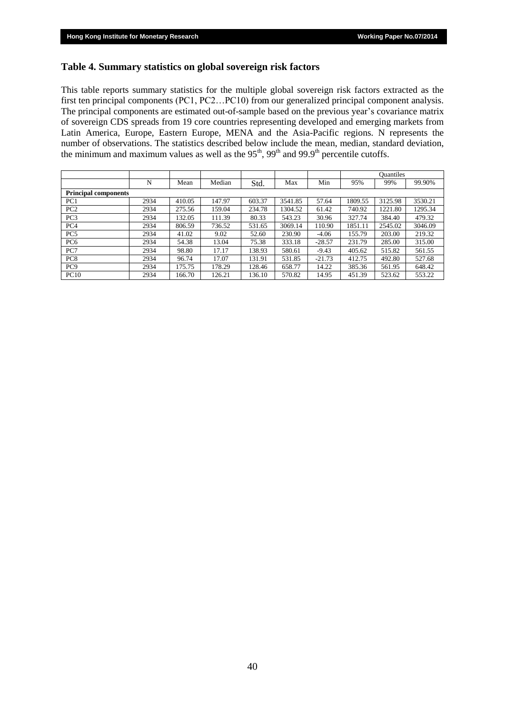#### **Table 4. Summary statistics on global sovereign risk factors**

This table reports summary statistics for the multiple global sovereign risk factors extracted as the first ten principal components (PC1, PC2…PC10) from our generalized principal component analysis. The principal components are estimated out-of-sample based on the previous year's covariance matrix of sovereign CDS spreads from 19 core countries representing developed and emerging markets from Latin America, Europe, Eastern Europe, MENA and the Asia-Pacific regions. N represents the number of observations. The statistics described below include the mean, median, standard deviation, the minimum and maximum values as well as the  $95<sup>th</sup>$ ,  $99<sup>th</sup>$  and  $99.9<sup>th</sup>$  percentile cutoffs.

|                 |                             |        |        |        |         |          |         | <b>Ouantiles</b> |         |  |  |
|-----------------|-----------------------------|--------|--------|--------|---------|----------|---------|------------------|---------|--|--|
|                 | N                           | Mean   | Median | Std.   | Max     | Min      | 95%     | 99%              | 99.90%  |  |  |
|                 | <b>Principal components</b> |        |        |        |         |          |         |                  |         |  |  |
| PC1             | 2934                        | 410.05 | 147.97 | 603.37 | 3541.85 | 57.64    | 1809.55 | 3125.98          | 3530.21 |  |  |
| PC <sub>2</sub> | 2934                        | 275.56 | 159.04 | 234.78 | 1304.52 | 61.42    | 740.92  | 1221.80          | 1295.34 |  |  |
| PC <sub>3</sub> | 2934                        | 132.05 | 111.39 | 80.33  | 543.23  | 30.96    | 327.74  | 384.40           | 479.32  |  |  |
| PC <sub>4</sub> | 2934                        | 806.59 | 736.52 | 531.65 | 3069.14 | 110.90   | 1851.11 | 2545.02          | 3046.09 |  |  |
| PC <sub>5</sub> | 2934                        | 41.02  | 9.02   | 52.60  | 230.90  | $-4.06$  | 155.79  | 203.00           | 219.32  |  |  |
| PC <sub>6</sub> | 2934                        | 54.38  | 13.04  | 75.38  | 333.18  | $-28.57$ | 231.79  | 285.00           | 315.00  |  |  |
| PC7             | 2934                        | 98.80  | 17.17  | 138.93 | 580.61  | $-9.43$  | 405.62  | 515.82           | 561.55  |  |  |
| PC <sub>8</sub> | 2934                        | 96.74  | 17.07  | 131.91 | 531.85  | $-21.73$ | 412.75  | 492.80           | 527.68  |  |  |
| PC <sub>9</sub> | 2934                        | 175.75 | 178.29 | 128.46 | 658.77  | 14.22    | 385.36  | 561.95           | 648.42  |  |  |
| PC10            | 2934                        | 166.70 | 126.21 | 136.10 | 570.82  | 14.95    | 451.39  | 523.62           | 553.22  |  |  |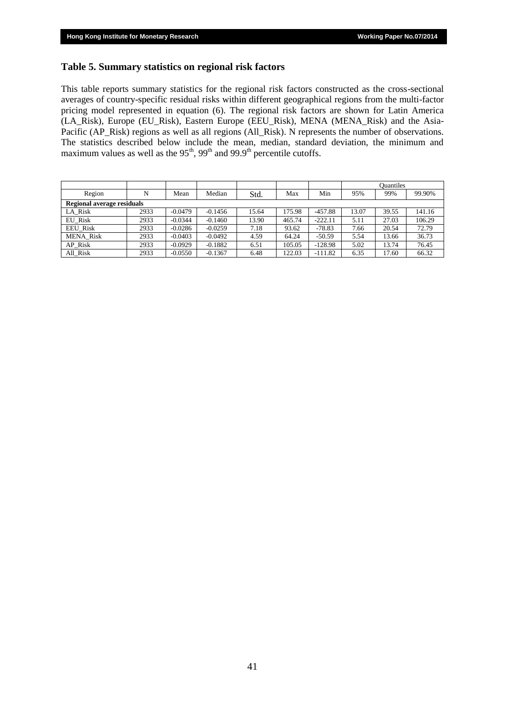#### **Table 5. Summary statistics on regional risk factors**

This table reports summary statistics for the regional risk factors constructed as the cross-sectional averages of country-specific residual risks within different geographical regions from the multi-factor pricing model represented in equation (6). The regional risk factors are shown for Latin America (LA\_Risk), Europe (EU\_Risk), Eastern Europe (EEU\_Risk), MENA (MENA\_Risk) and the Asia-Pacific (AP\_Risk) regions as well as all regions (All\_Risk). N represents the number of observations. The statistics described below include the mean, median, standard deviation, the minimum and maximum values as well as the  $95<sup>th</sup>$ ,  $99<sup>th</sup>$  and  $99.9<sup>th</sup>$  percentile cutoffs.

|                            |      |           |           |       |        |           |       | <b>Ouantiles</b> |        |
|----------------------------|------|-----------|-----------|-------|--------|-----------|-------|------------------|--------|
| Region                     | N    | Mean      | Median    | Std.  | Max    | Min       | 95%   | 99%              | 99.90% |
| Regional average residuals |      |           |           |       |        |           |       |                  |        |
| LA Risk                    | 2933 | $-0.0479$ | $-0.1456$ | 15.64 | 175.98 | $-457.88$ | 13.07 | 39.55            | 141.16 |
| EU Risk                    | 2933 | $-0.0344$ | $-0.1460$ | 13.90 | 465.74 | $-222.11$ | 5.11  | 27.03            | 106.29 |
| <b>EEU Risk</b>            | 2933 | $-0.0286$ | $-0.0259$ | 7.18  | 93.62  | $-78.83$  | 7.66  | 20.54            | 72.79  |
| <b>MENA Risk</b>           | 2933 | $-0.0403$ | $-0.0492$ | 4.59  | 64.24  | $-50.59$  | 5.54  | 13.66            | 36.73  |
| AP Risk                    | 2933 | $-0.0929$ | $-0.1882$ | 6.51  | 105.05 | $-128.98$ | 5.02  | 13.74            | 76.45  |
| All Risk                   | 2933 | $-0.0550$ | $-0.1367$ | 6.48  | 122.03 | $-111.82$ | 6.35  | 17.60            | 66.32  |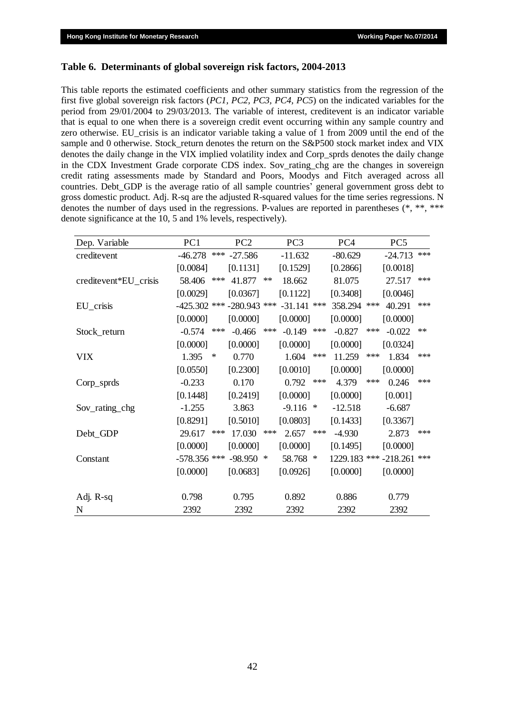#### **Table 6. Determinants of global sovereign risk factors, 2004-2013**

This table reports the estimated coefficients and other summary statistics from the regression of the first five global sovereign risk factors (*PC1, PC2, PC3, PC4, PC5*) on the indicated variables for the period from 29/01/2004 to 29/03/2013. The variable of interest, creditevent is an indicator variable that is equal to one when there is a sovereign credit event occurring within any sample country and zero otherwise. EU\_crisis is an indicator variable taking a value of 1 from 2009 until the end of the sample and 0 otherwise. Stock\_return denotes the return on the S&P500 stock market index and VIX denotes the daily change in the VIX implied volatility index and Corp\_sprds denotes the daily change in the CDX Investment Grade corporate CDS index. Sov\_rating\_chg are the changes in sovereign credit rating assessments made by Standard and Poors, Moodys and Fitch averaged across all countries. Debt\_GDP is the average ratio of all sample countries' general government gross debt to gross domestic product. Adj. R-sq are the adjusted R-squared values for the time series regressions. N denotes the number of days used in the regressions. P-values are reported in parentheses (\*, \*\*, \*\*\* denote significance at the 10, 5 and 1% levels, respectively).

| Dep. Variable         | PC1                                         |        | PC <sub>2</sub> |            | PC <sub>3</sub> |     | PC <sub>4</sub> |       | PC <sub>5</sub>       |      |
|-----------------------|---------------------------------------------|--------|-----------------|------------|-----------------|-----|-----------------|-------|-----------------------|------|
| creditevent           | $-46.278$                                   | $***$  | $-27.586$       |            | $-11.632$       |     | $-80.629$       |       | $-24.713$             | ***  |
|                       | [0.0084]                                    |        | [0.1131]        |            | [0.1529]        |     | [0.2866]        |       | [0.0018]              |      |
| creditevent*EU_crisis | 58.406                                      | $***$  | 41.877          | $\ast\ast$ | 18.662          |     | 81.075          |       | 27.517                | ***  |
|                       | [0.0029]                                    |        | [0.0367]        |            | [0.1122]        |     | [0.3408]        |       | [0.0046]              |      |
| EU_crisis             | $-425.302$ *** $-280.943$ *** $-31.141$ *** |        |                 |            |                 |     | 358.294         | ***   | 40.291                | ***  |
|                       | [0.0000]                                    |        | [0.0000]        |            | [0.0000]        |     | [0.0000]        |       | [0.0000]              |      |
| Stock_return          | $-0.574$                                    | ***    | $-0.466$        | ***        | $-0.149$ ***    |     | $-0.827$        | ***   | $-0.022$              | $**$ |
|                       | [0.0000]                                    |        | [0.0000]        |            | [0.0000]        |     | [0.0000]        |       | [0.0324]              |      |
| <b>VIX</b>            | 1.395                                       | $\ast$ | 0.770           |            | 1.604           | *** | 11.259          | $***$ | 1.834                 | ***  |
|                       | [0.0550]                                    |        | [0.2300]        |            | [0.0010]        |     | [0.0000]        |       | [0.0000]              |      |
| $Corp$ sprds          | $-0.233$                                    |        | 0.170           |            | $0.792$ ***     |     | 4.379           | $***$ | 0.246                 | ***  |
|                       | [0.1448]                                    |        | [0.2419]        |            | [0.0000]        |     | [0.0000]        |       | [0.001]               |      |
| Sov_rating_chg        | $-1.255$                                    |        | 3.863           |            | $-9.116$ *      |     | $-12.518$       |       | $-6.687$              |      |
|                       | [0.8291]                                    |        | [0.5010]        |            | [0.0803]        |     | [0.1433]        |       | [0.3367]              |      |
| Debt_GDP              | 29.617                                      | ***    | 17.030          | $***$      | 2.657           | *** | $-4.930$        |       | 2.873                 | ***  |
|                       | [0.0000]                                    |        | [0.0000]        |            | [0.0000]        |     | [0.1495]        |       | [0.0000]              |      |
| Constant              | -578.356 *** -98.950 *                      |        |                 |            | 58.768 *        |     |                 |       | 1229.183 *** -218.261 | ***  |
|                       | [0.0000]                                    |        | [0.0683]        |            | [0.0926]        |     | [0.0000]        |       | [0.0000]              |      |
|                       |                                             |        |                 |            |                 |     |                 |       |                       |      |
| Adj. R-sq             | 0.798                                       |        | 0.795           |            | 0.892           |     | 0.886           |       | 0.779                 |      |
| N                     | 2392                                        |        | 2392            |            | 2392            |     | 2392            |       | 2392                  |      |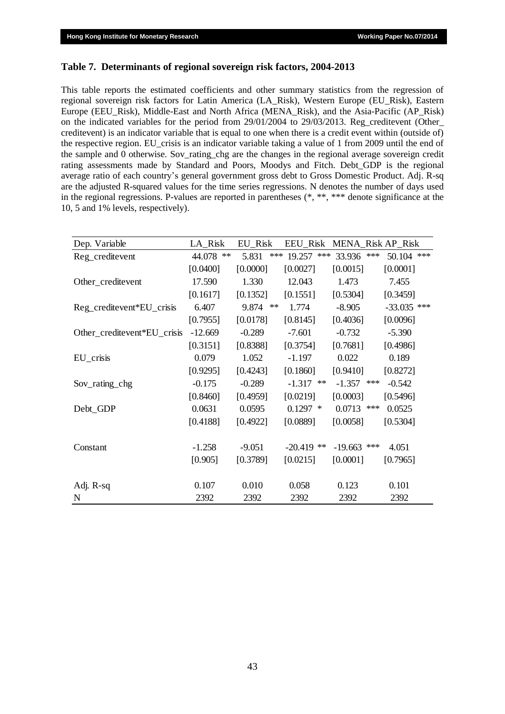#### **Table 7. Determinants of regional sovereign risk factors, 2004-2013**

This table reports the estimated coefficients and other summary statistics from the regression of regional sovereign risk factors for Latin America (LA\_Risk), Western Europe (EU\_Risk), Eastern Europe (EEU\_Risk), Middle-East and North Africa (MENA\_Risk), and the Asia-Pacific (AP\_Risk) on the indicated variables for the period from 29/01/2004 to 29/03/2013. Reg\_creditevent (Other\_ creditevent) is an indicator variable that is equal to one when there is a credit event within (outside of) the respective region. EU\_crisis is an indicator variable taking a value of 1 from 2009 until the end of the sample and 0 otherwise. Sov\_rating\_chg are the changes in the regional average sovereign credit rating assessments made by Standard and Poors, Moodys and Fitch. Debt\_GDP is the regional average ratio of each country's general government gross debt to Gross Domestic Product. Adj. R-sq are the adjusted R-squared values for the time series regressions. N denotes the number of days used in the regional regressions. P-values are reported in parentheses (\*, \*\*, \*\*\* denote significance at the 10, 5 and 1% levels, respectively).

| Dep. Variable               | LA_Risk   | EU_Risk      |               | EEU_Risk MENA_Risk AP_Risk |               |
|-----------------------------|-----------|--------------|---------------|----------------------------|---------------|
| Reg_creditevent             | 44.078 ** | ***<br>5.831 | ***<br>19.257 | ***<br>33.936              | 50.104<br>*** |
|                             | [0.0400]  | [0.0000]     | [0.0027]      | [0.0015]                   | [0.0001]      |
| Other_creditevent           | 17.590    | 1.330        | 12.043        | 1.473                      | 7.455         |
|                             | [0.1617]  | [0.1352]     | [0.1551]      | [0.5304]                   | [0.3459]      |
| Reg_creditevent*EU_crisis   | 6.407     | 9.874 **     | 1.774         | $-8.905$                   | $-33.035$ *** |
|                             | [0.7955]  | [0.0178]     | [0.8145]      | [0.4036]                   | [0.0096]      |
| Other_creditevent*EU_crisis | $-12.669$ | $-0.289$     | $-7.601$      | $-0.732$                   | $-5.390$      |
|                             | [0.3151]  | [0.8388]     | [0.3754]      | [0.7681]                   | [0.4986]      |
| EU_crisis                   | 0.079     | 1.052        | $-1.197$      | 0.022                      | 0.189         |
|                             | [0.9295]  | [0.4243]     | [0.1860]      | [0.9410]                   | [0.8272]      |
| Sov_rating_chg              | $-0.175$  | $-0.289$     | $-1.317$ **   | $-1.357$ ***               | $-0.542$      |
|                             | [0.8460]  | [0.4959]     | [0.0219]      | [0.0003]                   | [0.5496]      |
| Debt_GDP                    | 0.0631    | 0.0595       | $0.1297$ *    | $0.0713$ ***               | 0.0525        |
|                             | [0.4188]  | [0.4922]     | [0.0889]      | [0.0058]                   | [0.5304]      |
|                             |           |              |               |                            |               |
| Constant                    | $-1.258$  | $-9.051$     | $-20.419$ **  | $-19.663$ ***              | 4.051         |
|                             | [0.905]   | [0.3789]     | [0.0215]      | [0.0001]                   | [0.7965]      |
|                             |           |              |               |                            |               |
| Adj. R-sq                   | 0.107     | 0.010        | 0.058         | 0.123                      | 0.101         |
| N                           | 2392      | 2392         | 2392          | 2392                       | 2392          |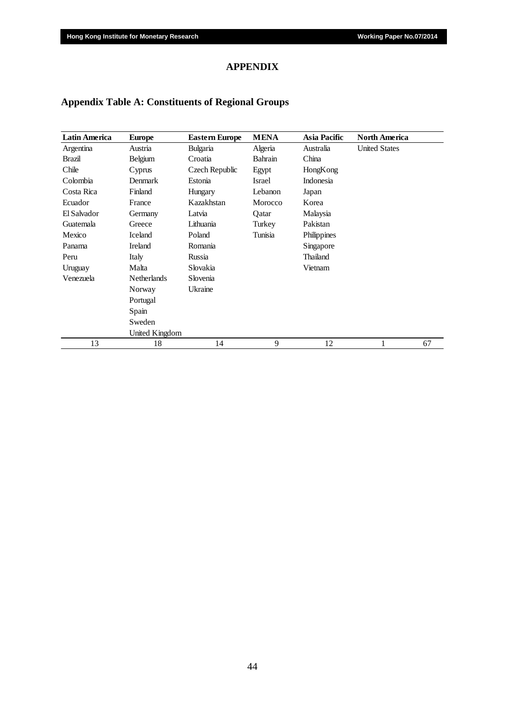## **APPENDIX**

## **Appendix Table A: Constituents of Regional Groups**

| Latin America | <b>Europe</b>      | <b>Eastern Europe</b> | <b>MENA</b> | Asia Pacific | <b>North America</b> |
|---------------|--------------------|-----------------------|-------------|--------------|----------------------|
| Argentina     | Austria            | Bulgaria              | Algeria     | Australia    | <b>United States</b> |
| Brazil        | Belgium            | Croatia               | Bahrain     | China        |                      |
| Chile         | Cyprus             | Czech Republic        | Egypt       | HongKong     |                      |
| Colombia      | Denmark            | Estonia               | Israel      | Indonesia    |                      |
| Costa Rica    | Finland            | Hungary               | Lebanon     | Japan        |                      |
| Ecuador       | France             | Kazakhstan            | Morocco     | Korea        |                      |
| El Salvador   | Germany            | Latvia                | Qatar       | Malaysia     |                      |
| Guatemala     | Greece             | Lithuania             | Turkey      | Pakistan     |                      |
| Mexico        | Iceland            | Poland                | Tunisia     | Philippines  |                      |
| Panama        | Ireland            | Romania               |             | Singapore    |                      |
| Peru          | Italy              | Russia                |             | Thailand     |                      |
| Uruguay       | Malta              | Slovakia              |             | Vietnam      |                      |
| Venezuela     | <b>Netherlands</b> | Slovenia              |             |              |                      |
|               | Norway             | Ukraine               |             |              |                      |
|               | Portugal           |                       |             |              |                      |
|               | Spain              |                       |             |              |                      |
|               | Sweden             |                       |             |              |                      |
|               | United Kingdom     |                       |             |              |                      |
| 13            | 18                 | 14                    | 9           | 12           | 67<br>1              |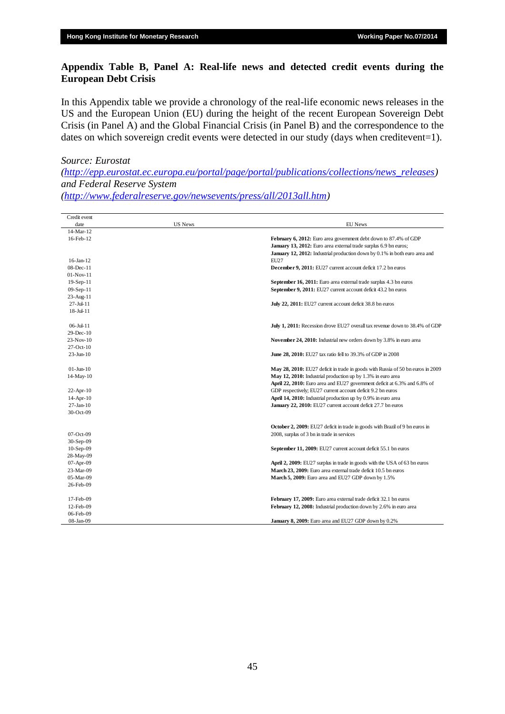## **Appendix Table B, Panel A: Real-life news and detected credit events during the European Debt Crisis**

In this Appendix table we provide a chronology of the real-life economic news releases in the US and the European Union (EU) during the height of the recent European Sovereign Debt Crisis (in Panel A) and the Global Financial Crisis (in Panel B) and the correspondence to the dates on which sovereign credit events were detected in our study (days when creditevent=1).

#### *Source: Eurostat*

*[\(http://epp.eurostat.ec.europa.eu/portal/page/portal/publications/collections/news\\_releases\)](http://epp.eurostat.ec.europa.eu/portal/page/portal/publications/collections/news_releases) and Federal Reserve System* 

*[\(http://www.federalreserve.gov/newsevents/press/all/2013all.htm\)](http://www.federalreserve.gov/newsevents/press/all/2013all.htm)*

| Credit event           |                |                                                                                 |
|------------------------|----------------|---------------------------------------------------------------------------------|
| date                   | <b>US News</b> | <b>EU</b> News                                                                  |
| 14-Mar-12              |                |                                                                                 |
| 16-Feb-12              |                | February 6, 2012: Euro area government debt down to 87.4% of GDP                |
|                        |                | January 13, 2012: Euro area external trade surplus 6.9 bn euros;                |
|                        |                | January 12, 2012: Industrial production down by 0.1% in both euro area and      |
| $16$ -Jan- $12$        |                | EU27                                                                            |
| $08$ -Dec-11           |                | December 9, 2011: EU27 current account deficit 17.2 bn euros                    |
| 01-Nov-11              |                |                                                                                 |
| 19-Sep-11              |                | September 16, 2011: Euro area external trade surplus 4.3 bn euros               |
| 09-Sep-11              |                | September 9, 2011: EU27 current account deficit 43.2 bn euros                   |
| 23-Aug-11              |                |                                                                                 |
| 27-Jul-11              |                | July 22, 2011: EU27 current account deficit 38.8 bn euros                       |
| $18 -$ Jul- $11$       |                |                                                                                 |
| $06 -$ Jul-11          |                | July 1, 2011: Recession drove EU27 overall tax revenue down to 38.4% of GDP     |
| 29-Dec-10              |                |                                                                                 |
| 23-Nov-10              |                | November 24, 2010: Industrial new orders down by 3.8% in euro area              |
| $27$ -Oct- $10$        |                |                                                                                 |
| $23 - Jun - 10$        |                | June 28, 2010: EU27 tax ratio fell to 39.3% of GDP in 2008                      |
| $01 - \text{Jun} - 10$ |                | May 28, 2010: EU27 deficit in trade in goods with Russia of 50 bn euros in 2009 |
| 14-May-10              |                | May 12, 2010: Industrial production up by 1.3% in euro area                     |
|                        |                | April 22, 2010: Euro area and EU27 government deficit at 6.3% and 6.8% of       |
| $22$ -Apr-10           |                | GDP respectively; EU27 current account deficit 9.2 bn euros                     |
| $14$ -Apr- $10$        |                | April 14, 2010: Industrial production up by 0.9% in euro area                   |
| $27$ -Jan- $10$        |                | January 22, 2010: EU27 current account deficit 27.7 bn euros                    |
| 30-Oct-09              |                |                                                                                 |
|                        |                | October 2, 2009: EU27 deficit in trade in goods with Brazil of 9 bn euros in    |
| 07-Oct-09              |                | 2008, surplus of 3 bn in trade in services                                      |
| 30-Sep-09              |                |                                                                                 |
| $10-Sep-09$            |                | September 11, 2009: EU27 current account deficit 55.1 bn euros                  |
| 28-May-09              |                |                                                                                 |
| $07$ -Apr- $09$        |                | April 2, 2009: EU27 surplus in trade in goods with the USA of 63 bn euros       |
| 23-Mar-09              |                | March 23, 2009: Euro area external trade deficit 10.5 bn euros                  |
| 05-Mar-09              |                | March 5, 2009: Euro area and EU27 GDP down by 1.5%                              |
| 26-Feb-09              |                |                                                                                 |
| 17-Feb-09              |                | February 17, 2009: Euro area external trade deficit 32.1 bn euros               |
| 12-Feb-09              |                | February 12, 2008: Industrial production down by 2.6% in euro area              |
| 06-Feb-09              |                |                                                                                 |
| 08-Jan-09              |                | January 8, 2009: Euro area and EU27 GDP down by 0.2%                            |